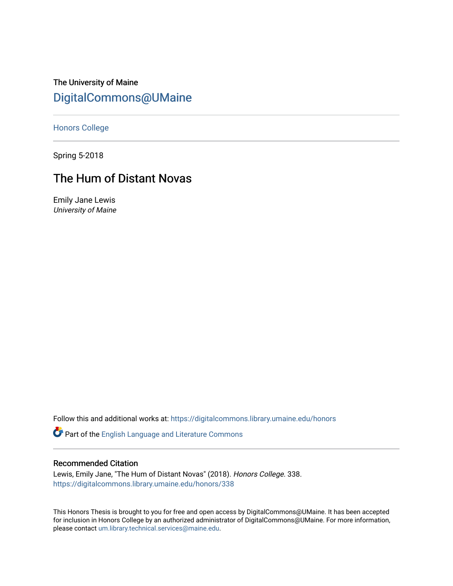The University of Maine [DigitalCommons@UMaine](https://digitalcommons.library.umaine.edu/)

[Honors College](https://digitalcommons.library.umaine.edu/honors)

Spring 5-2018

# The Hum of Distant Novas

Emily Jane Lewis University of Maine

Follow this and additional works at: [https://digitalcommons.library.umaine.edu/honors](https://digitalcommons.library.umaine.edu/honors?utm_source=digitalcommons.library.umaine.edu%2Fhonors%2F338&utm_medium=PDF&utm_campaign=PDFCoverPages) 

Part of the [English Language and Literature Commons](http://network.bepress.com/hgg/discipline/455?utm_source=digitalcommons.library.umaine.edu%2Fhonors%2F338&utm_medium=PDF&utm_campaign=PDFCoverPages)

#### Recommended Citation

Lewis, Emily Jane, "The Hum of Distant Novas" (2018). Honors College. 338. [https://digitalcommons.library.umaine.edu/honors/338](https://digitalcommons.library.umaine.edu/honors/338?utm_source=digitalcommons.library.umaine.edu%2Fhonors%2F338&utm_medium=PDF&utm_campaign=PDFCoverPages) 

This Honors Thesis is brought to you for free and open access by DigitalCommons@UMaine. It has been accepted for inclusion in Honors College by an authorized administrator of DigitalCommons@UMaine. For more information, please contact [um.library.technical.services@maine.edu.](mailto:um.library.technical.services@maine.edu)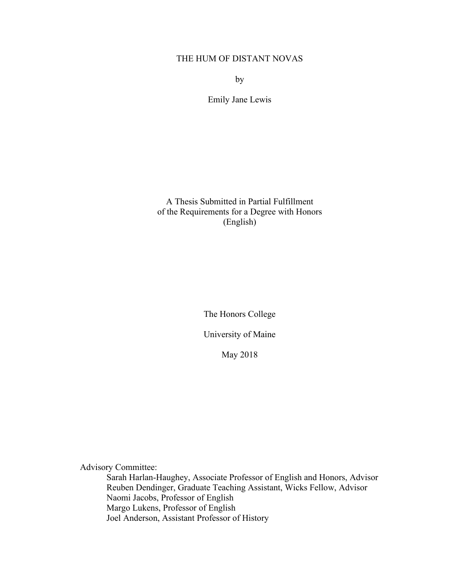## THE HUM OF DISTANT NOVAS

by

Emily Jane Lewis

A Thesis Submitted in Partial Fulfillment of the Requirements for a Degree with Honors (English)

The Honors College

University of Maine

May 2018

Advisory Committee:

Sarah Harlan-Haughey, Associate Professor of English and Honors, Advisor Reuben Dendinger, Graduate Teaching Assistant, Wicks Fellow, Advisor Naomi Jacobs, Professor of English Margo Lukens, Professor of English Joel Anderson, Assistant Professor of History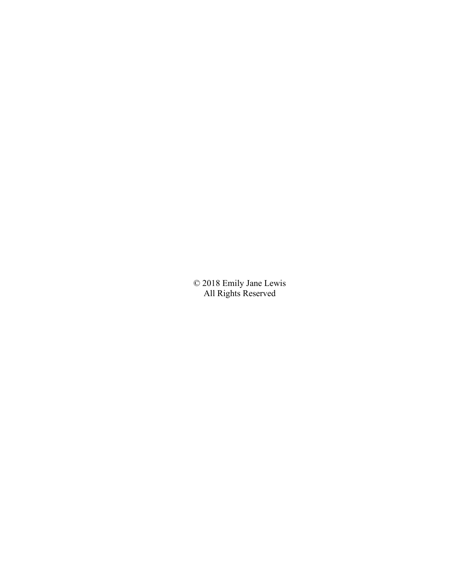© 2018 Emily Jane Lewis All Rights Reserved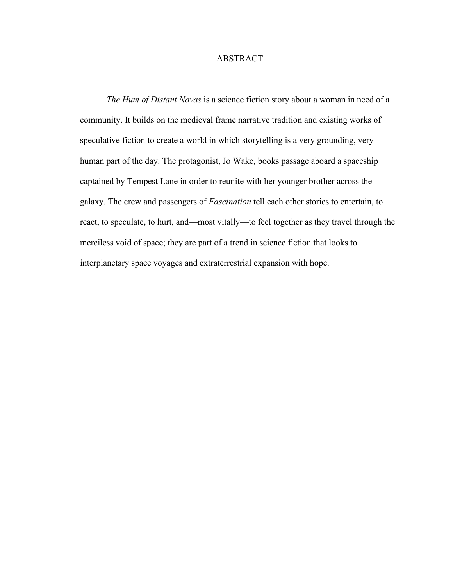### ABSTRACT

*The Hum of Distant Novas* is a science fiction story about a woman in need of a community. It builds on the medieval frame narrative tradition and existing works of speculative fiction to create a world in which storytelling is a very grounding, very human part of the day. The protagonist, Jo Wake, books passage aboard a spaceship captained by Tempest Lane in order to reunite with her younger brother across the galaxy. The crew and passengers of *Fascination* tell each other stories to entertain, to react, to speculate, to hurt, and––most vitally––to feel together as they travel through the merciless void of space; they are part of a trend in science fiction that looks to interplanetary space voyages and extraterrestrial expansion with hope.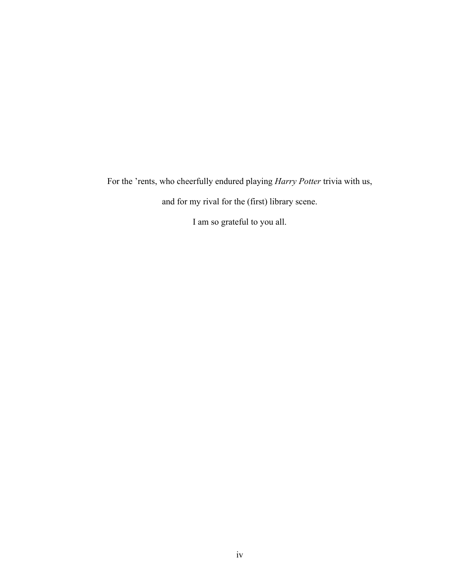For the 'rents, who cheerfully endured playing *Harry Potter* trivia with us,

and for my rival for the (first) library scene.

I am so grateful to you all.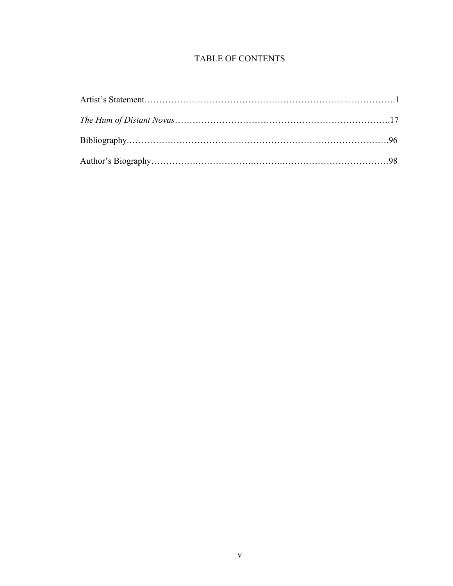# TABLE OF CONTENTS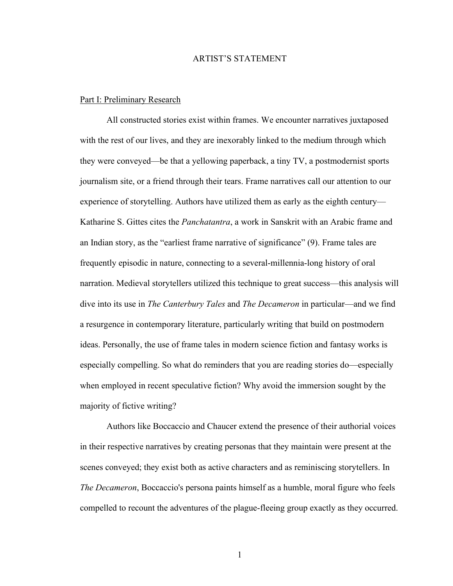#### ARTIST'S STATEMENT

#### Part I: Preliminary Research

All constructed stories exist within frames. We encounter narratives juxtaposed with the rest of our lives, and they are inexorably linked to the medium through which they were conveyed—be that a yellowing paperback, a tiny TV, a postmodernist sports journalism site, or a friend through their tears. Frame narratives call our attention to our experience of storytelling. Authors have utilized them as early as the eighth century— Katharine S. Gittes cites the *Panchatantra*, a work in Sanskrit with an Arabic frame and an Indian story, as the "earliest frame narrative of significance" (9). Frame tales are frequently episodic in nature, connecting to a several-millennia-long history of oral narration. Medieval storytellers utilized this technique to great success—this analysis will dive into its use in *The Canterbury Tales* and *The Decameron* in particular—and we find a resurgence in contemporary literature, particularly writing that build on postmodern ideas. Personally, the use of frame tales in modern science fiction and fantasy works is especially compelling. So what do reminders that you are reading stories do––especially when employed in recent speculative fiction? Why avoid the immersion sought by the majority of fictive writing?

Authors like Boccaccio and Chaucer extend the presence of their authorial voices in their respective narratives by creating personas that they maintain were present at the scenes conveyed; they exist both as active characters and as reminiscing storytellers. In *The Decameron*, Boccaccio's persona paints himself as a humble, moral figure who feels compelled to recount the adventures of the plague-fleeing group exactly as they occurred.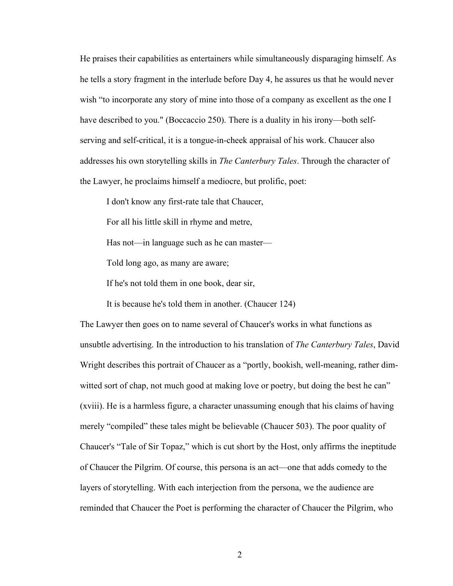He praises their capabilities as entertainers while simultaneously disparaging himself. As he tells a story fragment in the interlude before Day 4, he assures us that he would never wish "to incorporate any story of mine into those of a company as excellent as the one I have described to you." (Boccaccio 250). There is a duality in his irony—both selfserving and self-critical, it is a tongue-in-cheek appraisal of his work. Chaucer also addresses his own storytelling skills in *The Canterbury Tales*. Through the character of the Lawyer, he proclaims himself a mediocre, but prolific, poet:

I don't know any first-rate tale that Chaucer,

For all his little skill in rhyme and metre,

Has not—in language such as he can master—

Told long ago, as many are aware;

If he's not told them in one book, dear sir,

It is because he's told them in another. (Chaucer 124)

The Lawyer then goes on to name several of Chaucer's works in what functions as unsubtle advertising. In the introduction to his translation of *The Canterbury Tales*, David Wright describes this portrait of Chaucer as a "portly, bookish, well-meaning, rather dimwitted sort of chap, not much good at making love or poetry, but doing the best he can" (xviii). He is a harmless figure, a character unassuming enough that his claims of having merely "compiled" these tales might be believable (Chaucer 503). The poor quality of Chaucer's "Tale of Sir Topaz," which is cut short by the Host, only affirms the ineptitude of Chaucer the Pilgrim. Of course, this persona is an act—one that adds comedy to the layers of storytelling. With each interjection from the persona, we the audience are reminded that Chaucer the Poet is performing the character of Chaucer the Pilgrim, who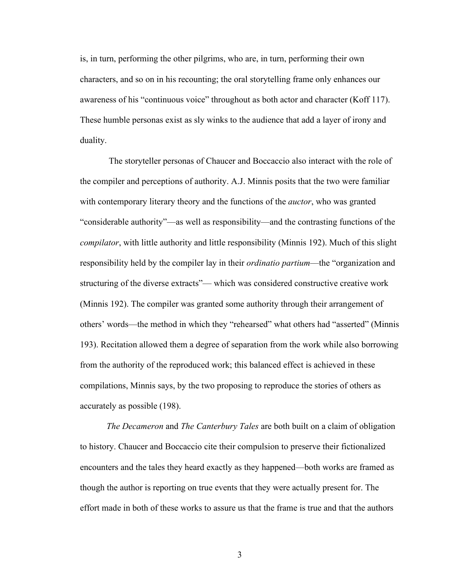is, in turn, performing the other pilgrims, who are, in turn, performing their own characters, and so on in his recounting; the oral storytelling frame only enhances our awareness of his "continuous voice" throughout as both actor and character (Koff 117). These humble personas exist as sly winks to the audience that add a layer of irony and duality.

The storyteller personas of Chaucer and Boccaccio also interact with the role of the compiler and perceptions of authority. A.J. Minnis posits that the two were familiar with contemporary literary theory and the functions of the *auctor*, who was granted "considerable authority"––as well as responsibility––and the contrasting functions of the *compilator*, with little authority and little responsibility (Minnis 192). Much of this slight responsibility held by the compiler lay in their *ordinatio partium*––the "organization and structuring of the diverse extracts"–– which was considered constructive creative work (Minnis 192). The compiler was granted some authority through their arrangement of others' words––the method in which they "rehearsed" what others had "asserted" (Minnis 193). Recitation allowed them a degree of separation from the work while also borrowing from the authority of the reproduced work; this balanced effect is achieved in these compilations, Minnis says, by the two proposing to reproduce the stories of others as accurately as possible (198).

*The Decameron* and *The Canterbury Tales* are both built on a claim of obligation to history. Chaucer and Boccaccio cite their compulsion to preserve their fictionalized encounters and the tales they heard exactly as they happened––both works are framed as though the author is reporting on true events that they were actually present for. The effort made in both of these works to assure us that the frame is true and that the authors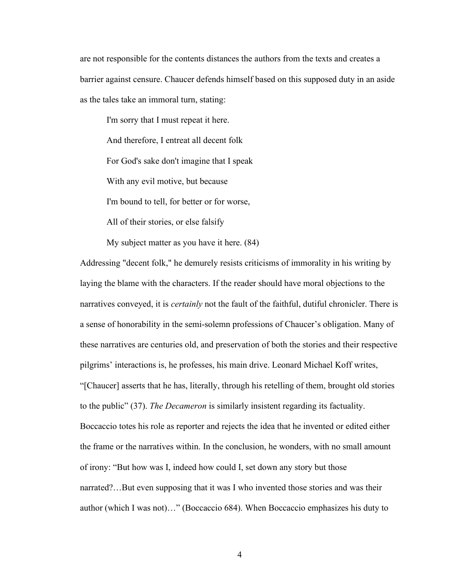are not responsible for the contents distances the authors from the texts and creates a barrier against censure. Chaucer defends himself based on this supposed duty in an aside as the tales take an immoral turn, stating:

I'm sorry that I must repeat it here. And therefore, I entreat all decent folk For God's sake don't imagine that I speak With any evil motive, but because I'm bound to tell, for better or for worse, All of their stories, or else falsify

My subject matter as you have it here. (84)

Addressing "decent folk," he demurely resists criticisms of immorality in his writing by laying the blame with the characters. If the reader should have moral objections to the narratives conveyed, it is *certainly* not the fault of the faithful, dutiful chronicler. There is a sense of honorability in the semi-solemn professions of Chaucer's obligation. Many of these narratives are centuries old, and preservation of both the stories and their respective pilgrims' interactions is, he professes, his main drive. Leonard Michael Koff writes, "[Chaucer] asserts that he has, literally, through his retelling of them, brought old stories to the public" (37). *The Decameron* is similarly insistent regarding its factuality. Boccaccio totes his role as reporter and rejects the idea that he invented or edited either the frame or the narratives within. In the conclusion, he wonders, with no small amount of irony: "But how was I, indeed how could I, set down any story but those narrated?…But even supposing that it was I who invented those stories and was their author (which I was not)…" (Boccaccio 684). When Boccaccio emphasizes his duty to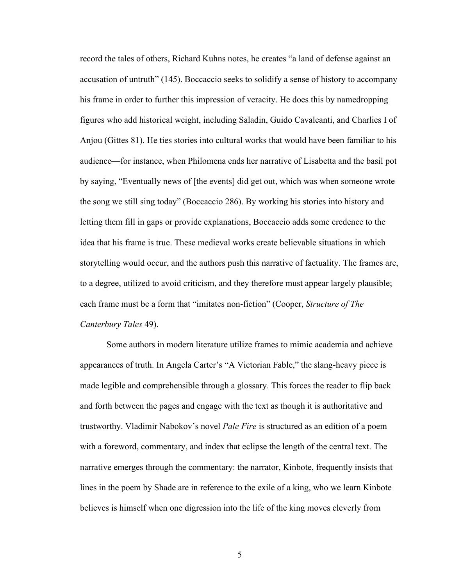record the tales of others, Richard Kuhns notes, he creates "a land of defense against an accusation of untruth" (145). Boccaccio seeks to solidify a sense of history to accompany his frame in order to further this impression of veracity. He does this by namedropping figures who add historical weight, including Saladin, Guido Cavalcanti, and Charlies I of Anjou (Gittes 81). He ties stories into cultural works that would have been familiar to his audience—for instance, when Philomena ends her narrative of Lisabetta and the basil pot by saying, "Eventually news of [the events] did get out, which was when someone wrote the song we still sing today" (Boccaccio 286). By working his stories into history and letting them fill in gaps or provide explanations, Boccaccio adds some credence to the idea that his frame is true. These medieval works create believable situations in which storytelling would occur, and the authors push this narrative of factuality. The frames are, to a degree, utilized to avoid criticism, and they therefore must appear largely plausible; each frame must be a form that "imitates non-fiction" (Cooper, *Structure of The Canterbury Tales* 49).

Some authors in modern literature utilize frames to mimic academia and achieve appearances of truth. In Angela Carter's "A Victorian Fable," the slang-heavy piece is made legible and comprehensible through a glossary. This forces the reader to flip back and forth between the pages and engage with the text as though it is authoritative and trustworthy. Vladimir Nabokov's novel *Pale Fire* is structured as an edition of a poem with a foreword, commentary, and index that eclipse the length of the central text. The narrative emerges through the commentary: the narrator, Kinbote, frequently insists that lines in the poem by Shade are in reference to the exile of a king, who we learn Kinbote believes is himself when one digression into the life of the king moves cleverly from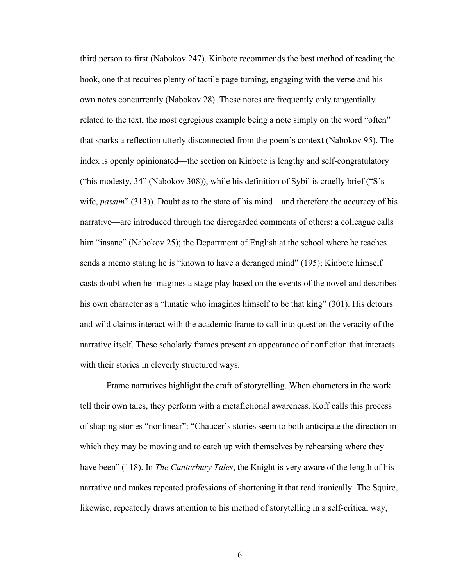third person to first (Nabokov 247). Kinbote recommends the best method of reading the book, one that requires plenty of tactile page turning, engaging with the verse and his own notes concurrently (Nabokov 28). These notes are frequently only tangentially related to the text, the most egregious example being a note simply on the word "often" that sparks a reflection utterly disconnected from the poem's context (Nabokov 95). The index is openly opinionated––the section on Kinbote is lengthy and self-congratulatory ("his modesty, 34" (Nabokov 308)), while his definition of Sybil is cruelly brief ("S's wife, *passim*" (313)). Doubt as to the state of his mind—and therefore the accuracy of his narrative—are introduced through the disregarded comments of others: a colleague calls him "insane" (Nabokov 25); the Department of English at the school where he teaches sends a memo stating he is "known to have a deranged mind" (195); Kinbote himself casts doubt when he imagines a stage play based on the events of the novel and describes his own character as a "lunatic who imagines himself to be that king" (301). His detours and wild claims interact with the academic frame to call into question the veracity of the narrative itself. These scholarly frames present an appearance of nonfiction that interacts with their stories in cleverly structured ways.

Frame narratives highlight the craft of storytelling. When characters in the work tell their own tales, they perform with a metafictional awareness. Koff calls this process of shaping stories "nonlinear": "Chaucer's stories seem to both anticipate the direction in which they may be moving and to catch up with themselves by rehearsing where they have been" (118). In *The Canterbury Tales*, the Knight is very aware of the length of his narrative and makes repeated professions of shortening it that read ironically. The Squire, likewise, repeatedly draws attention to his method of storytelling in a self-critical way,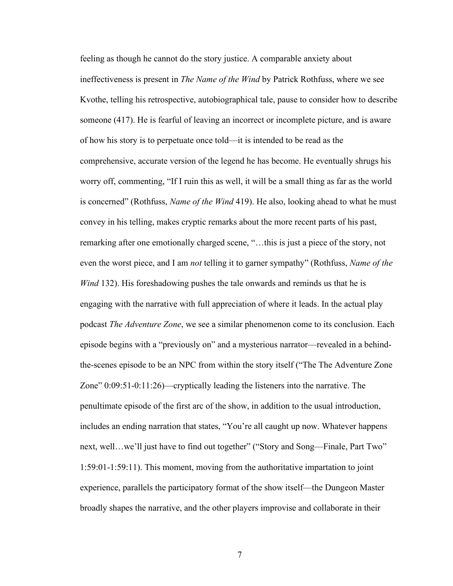feeling as though he cannot do the story justice. A comparable anxiety about ineffectiveness is present in *The Name of the Wind* by Patrick Rothfuss, where we see Kvothe, telling his retrospective, autobiographical tale, pause to consider how to describe someone (417). He is fearful of leaving an incorrect or incomplete picture, and is aware of how his story is to perpetuate once told––it is intended to be read as the comprehensive, accurate version of the legend he has become. He eventually shrugs his worry off, commenting, "If I ruin this as well, it will be a small thing as far as the world is concerned" (Rothfuss, *Name of the Wind* 419). He also, looking ahead to what he must convey in his telling, makes cryptic remarks about the more recent parts of his past, remarking after one emotionally charged scene, "…this is just a piece of the story, not even the worst piece, and I am *not* telling it to garner sympathy" (Rothfuss, *Name of the Wind* 132). His foreshadowing pushes the tale onwards and reminds us that he is engaging with the narrative with full appreciation of where it leads. In the actual play podcast *The Adventure Zone*, we see a similar phenomenon come to its conclusion. Each episode begins with a "previously on" and a mysterious narrator—revealed in a behindthe-scenes episode to be an NPC from within the story itself ("The The Adventure Zone Zone" 0:09:51-0:11:26)—cryptically leading the listeners into the narrative. The penultimate episode of the first arc of the show, in addition to the usual introduction, includes an ending narration that states, "You're all caught up now. Whatever happens next, well…we'll just have to find out together" ("Story and Song––Finale, Part Two" 1:59:01-1:59:11). This moment, moving from the authoritative impartation to joint experience, parallels the participatory format of the show itself—the Dungeon Master broadly shapes the narrative, and the other players improvise and collaborate in their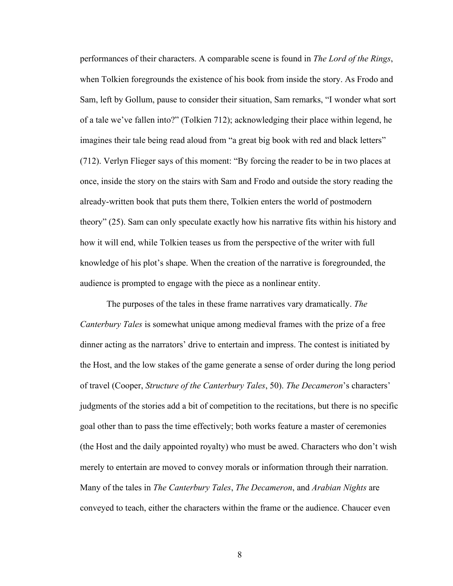performances of their characters. A comparable scene is found in *The Lord of the Rings*, when Tolkien foregrounds the existence of his book from inside the story. As Frodo and Sam, left by Gollum, pause to consider their situation, Sam remarks, "I wonder what sort of a tale we've fallen into?" (Tolkien 712); acknowledging their place within legend, he imagines their tale being read aloud from "a great big book with red and black letters" (712). Verlyn Flieger says of this moment: "By forcing the reader to be in two places at once, inside the story on the stairs with Sam and Frodo and outside the story reading the already-written book that puts them there, Tolkien enters the world of postmodern theory" (25). Sam can only speculate exactly how his narrative fits within his history and how it will end, while Tolkien teases us from the perspective of the writer with full knowledge of his plot's shape. When the creation of the narrative is foregrounded, the audience is prompted to engage with the piece as a nonlinear entity.

The purposes of the tales in these frame narratives vary dramatically. *The Canterbury Tales* is somewhat unique among medieval frames with the prize of a free dinner acting as the narrators' drive to entertain and impress. The contest is initiated by the Host, and the low stakes of the game generate a sense of order during the long period of travel (Cooper, *Structure of the Canterbury Tales*, 50). *The Decameron*'s characters' judgments of the stories add a bit of competition to the recitations, but there is no specific goal other than to pass the time effectively; both works feature a master of ceremonies (the Host and the daily appointed royalty) who must be awed. Characters who don't wish merely to entertain are moved to convey morals or information through their narration. Many of the tales in *The Canterbury Tales*, *The Decameron*, and *Arabian Nights* are conveyed to teach, either the characters within the frame or the audience. Chaucer even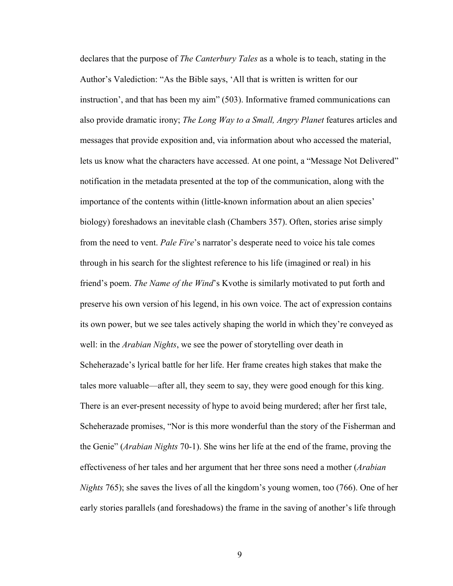declares that the purpose of *The Canterbury Tales* as a whole is to teach, stating in the Author's Valediction: "As the Bible says, 'All that is written is written for our instruction', and that has been my aim" (503). Informative framed communications can also provide dramatic irony; *The Long Way to a Small, Angry Planet* features articles and messages that provide exposition and, via information about who accessed the material, lets us know what the characters have accessed. At one point, a "Message Not Delivered" notification in the metadata presented at the top of the communication, along with the importance of the contents within (little-known information about an alien species' biology) foreshadows an inevitable clash (Chambers 357). Often, stories arise simply from the need to vent. *Pale Fire*'s narrator's desperate need to voice his tale comes through in his search for the slightest reference to his life (imagined or real) in his friend's poem. *The Name of the Wind*'s Kvothe is similarly motivated to put forth and preserve his own version of his legend, in his own voice. The act of expression contains its own power, but we see tales actively shaping the world in which they're conveyed as well: in the *Arabian Nights*, we see the power of storytelling over death in Scheherazade's lyrical battle for her life. Her frame creates high stakes that make the tales more valuable—after all, they seem to say, they were good enough for this king. There is an ever-present necessity of hype to avoid being murdered; after her first tale, Scheherazade promises, "Nor is this more wonderful than the story of the Fisherman and the Genie" (*Arabian Nights* 70-1). She wins her life at the end of the frame, proving the effectiveness of her tales and her argument that her three sons need a mother (*Arabian Nights* 765); she saves the lives of all the kingdom's young women, too (766). One of her early stories parallels (and foreshadows) the frame in the saving of another's life through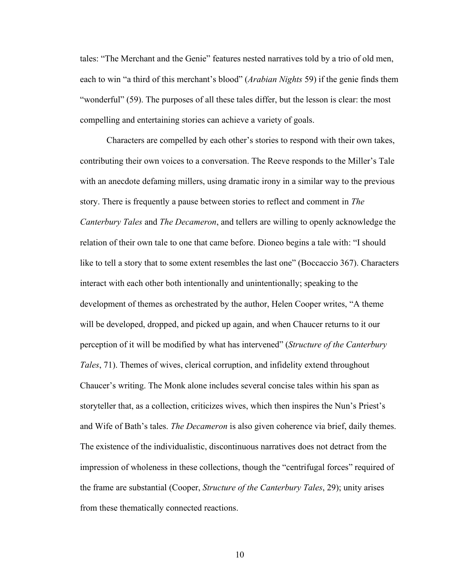tales: "The Merchant and the Genie" features nested narratives told by a trio of old men, each to win "a third of this merchant's blood" (*Arabian Nights* 59) if the genie finds them "wonderful" (59). The purposes of all these tales differ, but the lesson is clear: the most compelling and entertaining stories can achieve a variety of goals.

Characters are compelled by each other's stories to respond with their own takes, contributing their own voices to a conversation. The Reeve responds to the Miller's Tale with an anecdote defaming millers, using dramatic irony in a similar way to the previous story. There is frequently a pause between stories to reflect and comment in *The Canterbury Tales* and *The Decameron*, and tellers are willing to openly acknowledge the relation of their own tale to one that came before. Dioneo begins a tale with: "I should like to tell a story that to some extent resembles the last one" (Boccaccio 367). Characters interact with each other both intentionally and unintentionally; speaking to the development of themes as orchestrated by the author, Helen Cooper writes, "A theme will be developed, dropped, and picked up again, and when Chaucer returns to it our perception of it will be modified by what has intervened" (*Structure of the Canterbury Tales*, 71). Themes of wives, clerical corruption, and infidelity extend throughout Chaucer's writing. The Monk alone includes several concise tales within his span as storyteller that, as a collection, criticizes wives, which then inspires the Nun's Priest's and Wife of Bath's tales. *The Decameron* is also given coherence via brief, daily themes. The existence of the individualistic, discontinuous narratives does not detract from the impression of wholeness in these collections, though the "centrifugal forces" required of the frame are substantial (Cooper, *Structure of the Canterbury Tales*, 29); unity arises from these thematically connected reactions.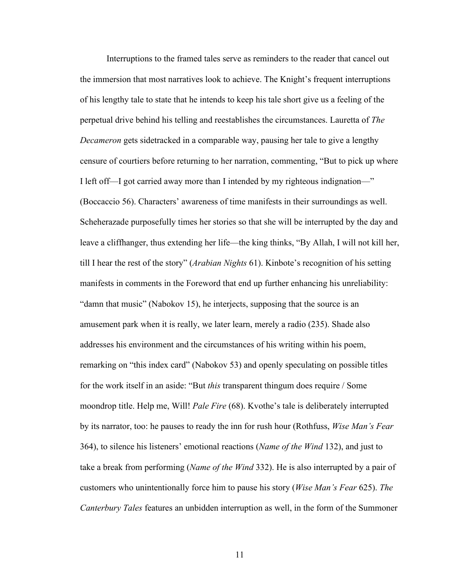Interruptions to the framed tales serve as reminders to the reader that cancel out the immersion that most narratives look to achieve. The Knight's frequent interruptions of his lengthy tale to state that he intends to keep his tale short give us a feeling of the perpetual drive behind his telling and reestablishes the circumstances. Lauretta of *The Decameron* gets sidetracked in a comparable way, pausing her tale to give a lengthy censure of courtiers before returning to her narration, commenting, "But to pick up where I left off––I got carried away more than I intended by my righteous indignation––" (Boccaccio 56). Characters' awareness of time manifests in their surroundings as well. Scheherazade purposefully times her stories so that she will be interrupted by the day and leave a cliffhanger, thus extending her life—the king thinks, "By Allah, I will not kill her, till I hear the rest of the story" (*Arabian Nights* 61). Kinbote's recognition of his setting manifests in comments in the Foreword that end up further enhancing his unreliability: "damn that music" (Nabokov 15), he interjects, supposing that the source is an amusement park when it is really, we later learn, merely a radio (235). Shade also addresses his environment and the circumstances of his writing within his poem, remarking on "this index card" (Nabokov 53) and openly speculating on possible titles for the work itself in an aside: "But *this* transparent thingum does require / Some moondrop title. Help me, Will! *Pale Fire* (68). Kvothe's tale is deliberately interrupted by its narrator, too: he pauses to ready the inn for rush hour (Rothfuss, *Wise Man's Fear* 364), to silence his listeners' emotional reactions (*Name of the Wind* 132), and just to take a break from performing (*Name of the Wind* 332). He is also interrupted by a pair of customers who unintentionally force him to pause his story (*Wise Man's Fear* 625). *The Canterbury Tales* features an unbidden interruption as well, in the form of the Summoner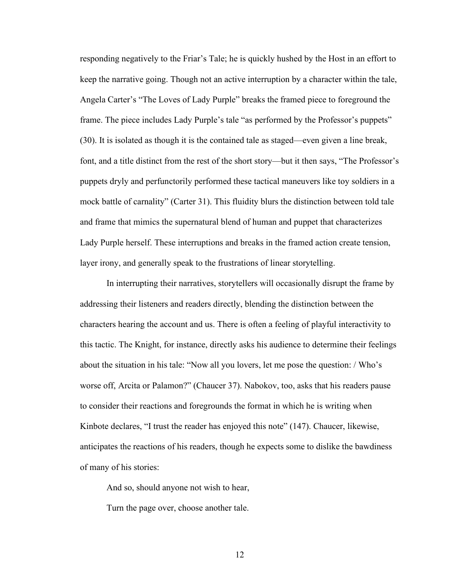responding negatively to the Friar's Tale; he is quickly hushed by the Host in an effort to keep the narrative going. Though not an active interruption by a character within the tale, Angela Carter's "The Loves of Lady Purple" breaks the framed piece to foreground the frame. The piece includes Lady Purple's tale "as performed by the Professor's puppets" (30). It is isolated as though it is the contained tale as staged—even given a line break, font, and a title distinct from the rest of the short story—but it then says, "The Professor's puppets dryly and perfunctorily performed these tactical maneuvers like toy soldiers in a mock battle of carnality" (Carter 31). This fluidity blurs the distinction between told tale and frame that mimics the supernatural blend of human and puppet that characterizes Lady Purple herself. These interruptions and breaks in the framed action create tension, layer irony, and generally speak to the frustrations of linear storytelling.

In interrupting their narratives, storytellers will occasionally disrupt the frame by addressing their listeners and readers directly, blending the distinction between the characters hearing the account and us. There is often a feeling of playful interactivity to this tactic. The Knight, for instance, directly asks his audience to determine their feelings about the situation in his tale: "Now all you lovers, let me pose the question: / Who's worse off, Arcita or Palamon?" (Chaucer 37). Nabokov, too, asks that his readers pause to consider their reactions and foregrounds the format in which he is writing when Kinbote declares, "I trust the reader has enjoyed this note" (147). Chaucer, likewise, anticipates the reactions of his readers, though he expects some to dislike the bawdiness of many of his stories:

And so, should anyone not wish to hear,

Turn the page over, choose another tale.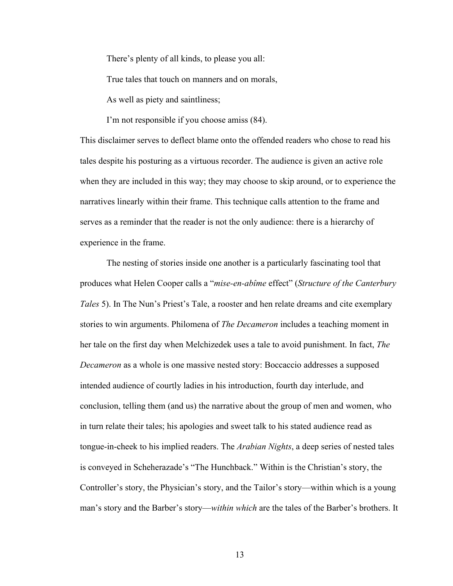There's plenty of all kinds, to please you all:

True tales that touch on manners and on morals,

As well as piety and saintliness;

I'm not responsible if you choose amiss (84).

This disclaimer serves to deflect blame onto the offended readers who chose to read his tales despite his posturing as a virtuous recorder. The audience is given an active role when they are included in this way; they may choose to skip around, or to experience the narratives linearly within their frame. This technique calls attention to the frame and serves as a reminder that the reader is not the only audience: there is a hierarchy of experience in the frame.

The nesting of stories inside one another is a particularly fascinating tool that produces what Helen Cooper calls a "*mise-en-abîme* effect" (*Structure of the Canterbury Tales* 5). In The Nun's Priest's Tale, a rooster and hen relate dreams and cite exemplary stories to win arguments. Philomena of *The Decameron* includes a teaching moment in her tale on the first day when Melchizedek uses a tale to avoid punishment. In fact, *The Decameron* as a whole is one massive nested story: Boccaccio addresses a supposed intended audience of courtly ladies in his introduction, fourth day interlude, and conclusion, telling them (and us) the narrative about the group of men and women, who in turn relate their tales; his apologies and sweet talk to his stated audience read as tongue-in-cheek to his implied readers. The *Arabian Nights*, a deep series of nested tales is conveyed in Scheherazade's "The Hunchback." Within is the Christian's story, the Controller's story, the Physician's story, and the Tailor's story—within which is a young man's story and the Barber's story—*within which* are the tales of the Barber's brothers. It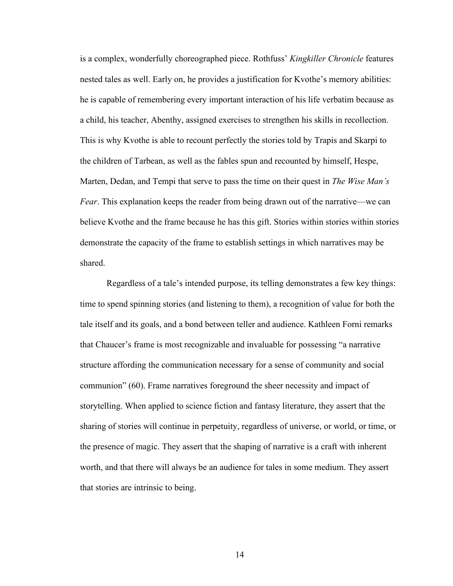is a complex, wonderfully choreographed piece. Rothfuss' *Kingkiller Chronicle* features nested tales as well. Early on, he provides a justification for Kvothe's memory abilities: he is capable of remembering every important interaction of his life verbatim because as a child, his teacher, Abenthy, assigned exercises to strengthen his skills in recollection. This is why Kvothe is able to recount perfectly the stories told by Trapis and Skarpi to the children of Tarbean, as well as the fables spun and recounted by himself, Hespe, Marten, Dedan, and Tempi that serve to pass the time on their quest in *The Wise Man's Fear*. This explanation keeps the reader from being drawn out of the narrative—we can believe Kvothe and the frame because he has this gift. Stories within stories within stories demonstrate the capacity of the frame to establish settings in which narratives may be shared.

Regardless of a tale's intended purpose, its telling demonstrates a few key things: time to spend spinning stories (and listening to them), a recognition of value for both the tale itself and its goals, and a bond between teller and audience. Kathleen Forni remarks that Chaucer's frame is most recognizable and invaluable for possessing "a narrative structure affording the communication necessary for a sense of community and social communion" (60). Frame narratives foreground the sheer necessity and impact of storytelling. When applied to science fiction and fantasy literature, they assert that the sharing of stories will continue in perpetuity, regardless of universe, or world, or time, or the presence of magic. They assert that the shaping of narrative is a craft with inherent worth, and that there will always be an audience for tales in some medium. They assert that stories are intrinsic to being.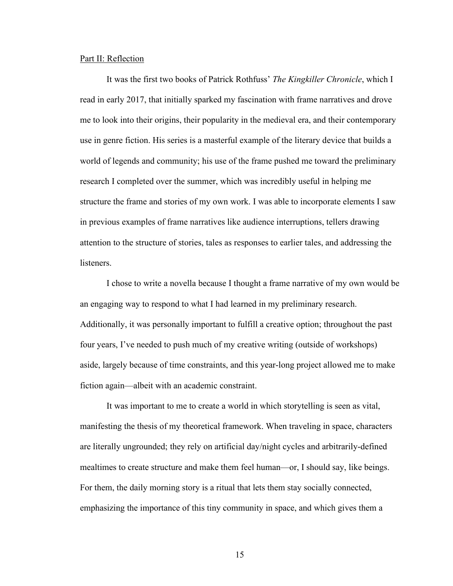#### Part II: Reflection

It was the first two books of Patrick Rothfuss' *The Kingkiller Chronicle*, which I read in early 2017, that initially sparked my fascination with frame narratives and drove me to look into their origins, their popularity in the medieval era, and their contemporary use in genre fiction. His series is a masterful example of the literary device that builds a world of legends and community; his use of the frame pushed me toward the preliminary research I completed over the summer, which was incredibly useful in helping me structure the frame and stories of my own work. I was able to incorporate elements I saw in previous examples of frame narratives like audience interruptions, tellers drawing attention to the structure of stories, tales as responses to earlier tales, and addressing the **listeners** 

I chose to write a novella because I thought a frame narrative of my own would be an engaging way to respond to what I had learned in my preliminary research. Additionally, it was personally important to fulfill a creative option; throughout the past four years, I've needed to push much of my creative writing (outside of workshops) aside, largely because of time constraints, and this year-long project allowed me to make fiction again––albeit with an academic constraint.

It was important to me to create a world in which storytelling is seen as vital, manifesting the thesis of my theoretical framework. When traveling in space, characters are literally ungrounded; they rely on artificial day/night cycles and arbitrarily-defined mealtimes to create structure and make them feel human—or, I should say, like beings. For them, the daily morning story is a ritual that lets them stay socially connected, emphasizing the importance of this tiny community in space, and which gives them a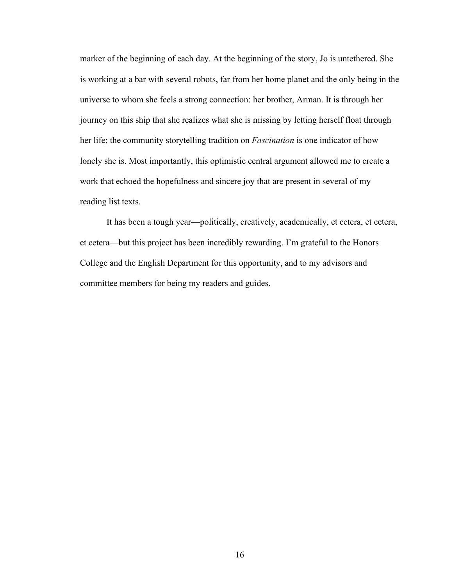marker of the beginning of each day. At the beginning of the story, Jo is untethered. She is working at a bar with several robots, far from her home planet and the only being in the universe to whom she feels a strong connection: her brother, Arman. It is through her journey on this ship that she realizes what she is missing by letting herself float through her life; the community storytelling tradition on *Fascination* is one indicator of how lonely she is. Most importantly, this optimistic central argument allowed me to create a work that echoed the hopefulness and sincere joy that are present in several of my reading list texts.

It has been a tough year––politically, creatively, academically, et cetera, et cetera, et cetera––but this project has been incredibly rewarding. I'm grateful to the Honors College and the English Department for this opportunity, and to my advisors and committee members for being my readers and guides.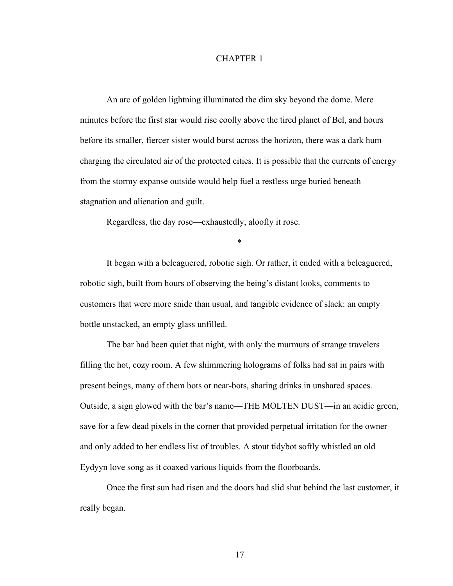#### CHAPTER 1

An arc of golden lightning illuminated the dim sky beyond the dome. Mere minutes before the first star would rise coolly above the tired planet of Bel, and hours before its smaller, fiercer sister would burst across the horizon, there was a dark hum charging the circulated air of the protected cities. It is possible that the currents of energy from the stormy expanse outside would help fuel a restless urge buried beneath stagnation and alienation and guilt.

Regardless, the day rose––exhaustedly, aloofly it rose.

\*

It began with a beleaguered, robotic sigh. Or rather, it ended with a beleaguered, robotic sigh, built from hours of observing the being's distant looks, comments to customers that were more snide than usual, and tangible evidence of slack: an empty bottle unstacked, an empty glass unfilled.

The bar had been quiet that night, with only the murmurs of strange travelers filling the hot, cozy room. A few shimmering holograms of folks had sat in pairs with present beings, many of them bots or near-bots, sharing drinks in unshared spaces. Outside, a sign glowed with the bar's name––THE MOLTEN DUST––in an acidic green, save for a few dead pixels in the corner that provided perpetual irritation for the owner and only added to her endless list of troubles. A stout tidybot softly whistled an old Eydyyn love song as it coaxed various liquids from the floorboards.

Once the first sun had risen and the doors had slid shut behind the last customer, it really began.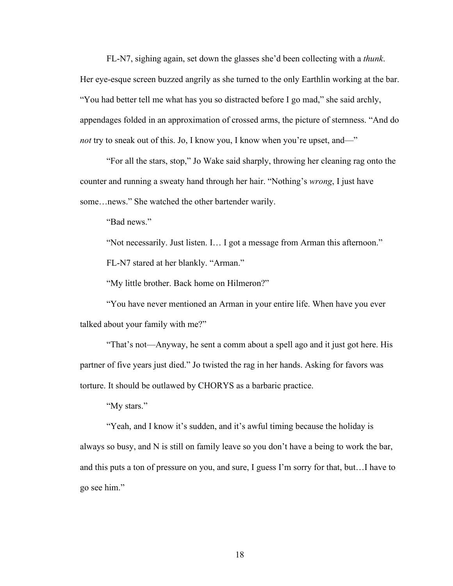FL-N7, sighing again, set down the glasses she'd been collecting with a *thunk*. Her eye-esque screen buzzed angrily as she turned to the only Earthlin working at the bar. "You had better tell me what has you so distracted before I go mad," she said archly, appendages folded in an approximation of crossed arms, the picture of sternness. "And do *not* try to sneak out of this. Jo, I know you, I know when you're upset, and—"

"For all the stars, stop," Jo Wake said sharply, throwing her cleaning rag onto the counter and running a sweaty hand through her hair. "Nothing's *wrong*, I just have some…news." She watched the other bartender warily.

"Bad news."

"Not necessarily. Just listen. I… I got a message from Arman this afternoon." FL-N7 stared at her blankly. "Arman."

"My little brother. Back home on Hilmeron?"

"You have never mentioned an Arman in your entire life. When have you ever talked about your family with me?"

"That's not––Anyway, he sent a comm about a spell ago and it just got here. His partner of five years just died." Jo twisted the rag in her hands. Asking for favors was torture. It should be outlawed by CHORYS as a barbaric practice.

"My stars."

"Yeah, and I know it's sudden, and it's awful timing because the holiday is always so busy, and N is still on family leave so you don't have a being to work the bar, and this puts a ton of pressure on you, and sure, I guess I'm sorry for that, but…I have to go see him."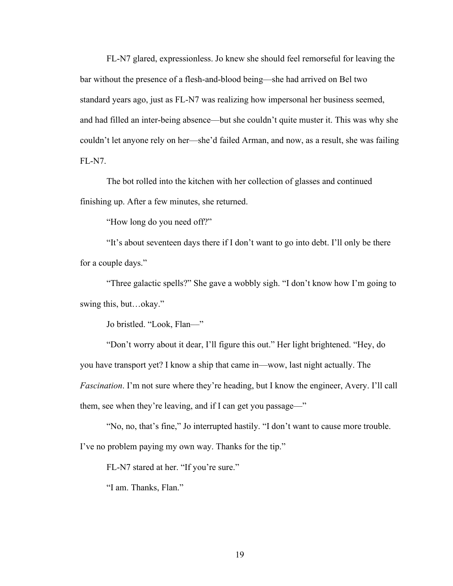FL-N7 glared, expressionless. Jo knew she should feel remorseful for leaving the bar without the presence of a flesh-and-blood being––she had arrived on Bel two standard years ago, just as FL-N7 was realizing how impersonal her business seemed, and had filled an inter-being absence––but she couldn't quite muster it. This was why she couldn't let anyone rely on her––she'd failed Arman, and now, as a result, she was failing FL-N7.

The bot rolled into the kitchen with her collection of glasses and continued finishing up. After a few minutes, she returned.

"How long do you need off?"

"It's about seventeen days there if I don't want to go into debt. I'll only be there for a couple days."

"Three galactic spells?" She gave a wobbly sigh. "I don't know how I'm going to swing this, but…okay."

Jo bristled. "Look, Flan––"

"Don't worry about it dear, I'll figure this out." Her light brightened. "Hey, do you have transport yet? I know a ship that came in––wow, last night actually. The *Fascination*. I'm not sure where they're heading, but I know the engineer, Avery. I'll call them, see when they're leaving, and if I can get you passage––"

"No, no, that's fine," Jo interrupted hastily. "I don't want to cause more trouble. I've no problem paying my own way. Thanks for the tip."

FL-N7 stared at her. "If you're sure."

"I am. Thanks, Flan."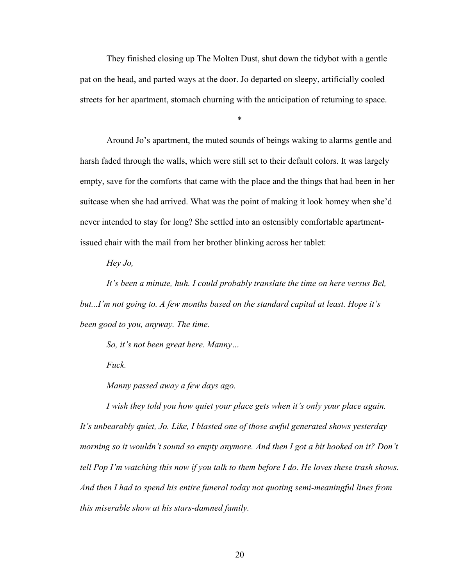They finished closing up The Molten Dust, shut down the tidybot with a gentle pat on the head, and parted ways at the door. Jo departed on sleepy, artificially cooled streets for her apartment, stomach churning with the anticipation of returning to space.

\*

Around Jo's apartment, the muted sounds of beings waking to alarms gentle and harsh faded through the walls, which were still set to their default colors. It was largely empty, save for the comforts that came with the place and the things that had been in her suitcase when she had arrived. What was the point of making it look homey when she'd never intended to stay for long? She settled into an ostensibly comfortable apartmentissued chair with the mail from her brother blinking across her tablet:

*Hey Jo,*

*It's been a minute, huh. I could probably translate the time on here versus Bel, but...I'm not going to. A few months based on the standard capital at least. Hope it's been good to you, anyway. The time.*

*So, it's not been great here. Manny…*

*Fuck.*

*Manny passed away a few days ago.* 

*I wish they told you how quiet your place gets when it's only your place again. It's unbearably quiet, Jo. Like, I blasted one of those awful generated shows yesterday morning so it wouldn't sound so empty anymore. And then I got a bit hooked on it? Don't tell Pop I'm watching this now if you talk to them before I do. He loves these trash shows. And then I had to spend his entire funeral today not quoting semi-meaningful lines from this miserable show at his stars-damned family.*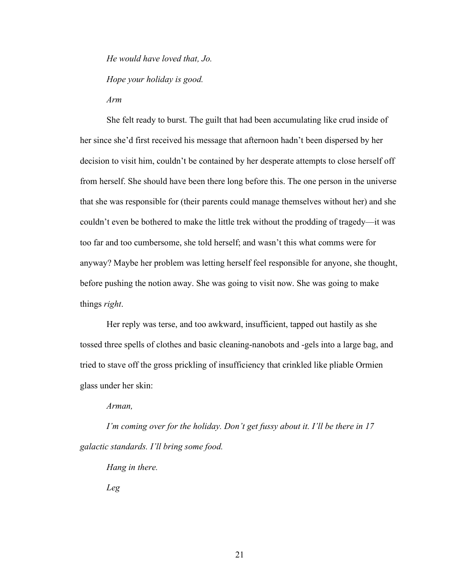*He would have loved that, Jo. Hope your holiday is good. Arm*

She felt ready to burst. The guilt that had been accumulating like crud inside of her since she'd first received his message that afternoon hadn't been dispersed by her decision to visit him, couldn't be contained by her desperate attempts to close herself off from herself. She should have been there long before this. The one person in the universe that she was responsible for (their parents could manage themselves without her) and she couldn't even be bothered to make the little trek without the prodding of tragedy––it was too far and too cumbersome, she told herself; and wasn't this what comms were for anyway? Maybe her problem was letting herself feel responsible for anyone, she thought, before pushing the notion away. She was going to visit now. She was going to make things *right*.

Her reply was terse, and too awkward, insufficient, tapped out hastily as she tossed three spells of clothes and basic cleaning-nanobots and -gels into a large bag, and tried to stave off the gross prickling of insufficiency that crinkled like pliable Ormien glass under her skin:

*Arman,*

*I'm coming over for the holiday. Don't get fussy about it. I'll be there in 17 galactic standards. I'll bring some food.* 

*Hang in there.*

*Leg*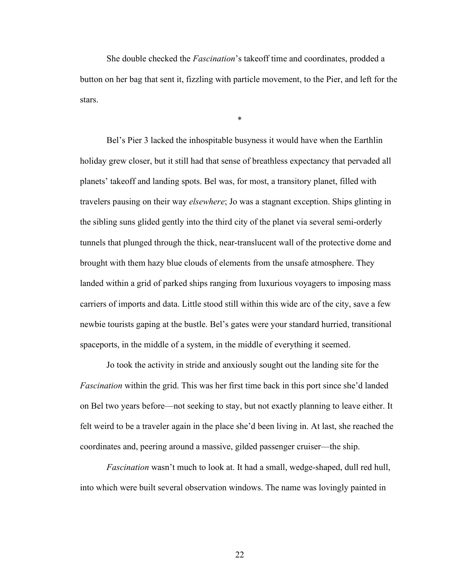She double checked the *Fascination*'s takeoff time and coordinates, prodded a button on her bag that sent it, fizzling with particle movement, to the Pier, and left for the stars.

\*

Bel's Pier 3 lacked the inhospitable busyness it would have when the Earthlin holiday grew closer, but it still had that sense of breathless expectancy that pervaded all planets' takeoff and landing spots. Bel was, for most, a transitory planet, filled with travelers pausing on their way *elsewhere*; Jo was a stagnant exception. Ships glinting in the sibling suns glided gently into the third city of the planet via several semi-orderly tunnels that plunged through the thick, near-translucent wall of the protective dome and brought with them hazy blue clouds of elements from the unsafe atmosphere. They landed within a grid of parked ships ranging from luxurious voyagers to imposing mass carriers of imports and data. Little stood still within this wide arc of the city, save a few newbie tourists gaping at the bustle. Bel's gates were your standard hurried, transitional spaceports, in the middle of a system, in the middle of everything it seemed.

Jo took the activity in stride and anxiously sought out the landing site for the *Fascination* within the grid. This was her first time back in this port since she'd landed on Bel two years before––not seeking to stay, but not exactly planning to leave either. It felt weird to be a traveler again in the place she'd been living in. At last, she reached the coordinates and, peering around a massive, gilded passenger cruiser––the ship.

*Fascination* wasn't much to look at. It had a small, wedge-shaped, dull red hull, into which were built several observation windows. The name was lovingly painted in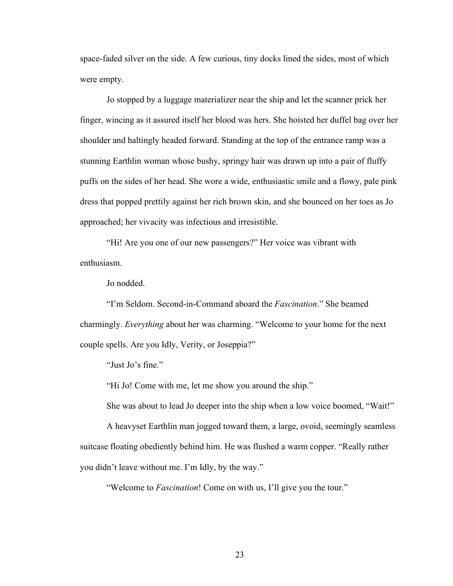space-faded silver on the side. A few curious, tiny docks lined the sides, most of which were empty.

Jo stopped by a luggage materializer near the ship and let the scanner prick her finger, wincing as it assured itself her blood was hers. She hoisted her duffel bag over her shoulder and haltingly headed forward. Standing at the top of the entrance ramp was a stunning Earthlin woman whose bushy, springy hair was drawn up into a pair of fluffy puffs on the sides of her head. She wore a wide, enthusiastic smile and a flowy, pale pink dress that popped prettily against her rich brown skin, and she bounced on her toes as Jo approached; her vivacity was infectious and irresistible.

"Hi! Are you one of our new passengers?" Her voice was vibrant with enthusiasm.

Jo nodded.

"I'm Seldom. Second-in-Command aboard the *Fascination*." She beamed charmingly. *Everything* about her was charming. "Welcome to your home for the next couple spells. Are you Idly, Verity, or Joseppia?"

"Just Jo's fine."

"Hi Jo! Come with me, let me show you around the ship."

She was about to lead Jo deeper into the ship when a low voice boomed, "Wait!"

A heavyset Earthlin man jogged toward them, a large, ovoid, seemingly seamless suitcase floating obediently behind him. He was flushed a warm copper. "Really rather you didn't leave without me. I'm Idly, by the way."

"Welcome to *Fascination*! Come on with us, I'll give you the tour."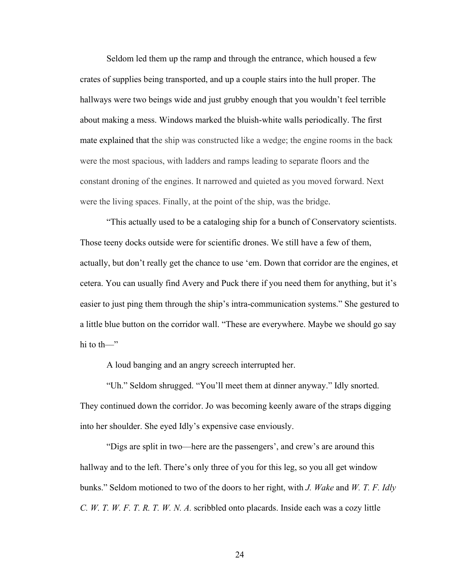Seldom led them up the ramp and through the entrance, which housed a few crates of supplies being transported, and up a couple stairs into the hull proper. The hallways were two beings wide and just grubby enough that you wouldn't feel terrible about making a mess. Windows marked the bluish-white walls periodically. The first mate explained that the ship was constructed like a wedge; the engine rooms in the back were the most spacious, with ladders and ramps leading to separate floors and the constant droning of the engines. It narrowed and quieted as you moved forward. Next were the living spaces. Finally, at the point of the ship, was the bridge.

"This actually used to be a cataloging ship for a bunch of Conservatory scientists. Those teeny docks outside were for scientific drones. We still have a few of them, actually, but don't really get the chance to use 'em. Down that corridor are the engines, et cetera. You can usually find Avery and Puck there if you need them for anything, but it's easier to just ping them through the ship's intra-communication systems." She gestured to a little blue button on the corridor wall. "These are everywhere. Maybe we should go say hi to th—"

A loud banging and an angry screech interrupted her.

"Uh." Seldom shrugged. "You'll meet them at dinner anyway." Idly snorted. They continued down the corridor. Jo was becoming keenly aware of the straps digging into her shoulder. She eyed Idly's expensive case enviously.

"Digs are split in two––here are the passengers', and crew's are around this hallway and to the left. There's only three of you for this leg, so you all get window bunks." Seldom motioned to two of the doors to her right, with *J. Wake* and *W. T. F. Idly C. W. T. W. F. T. R. T. W. N. A.* scribbled onto placards. Inside each was a cozy little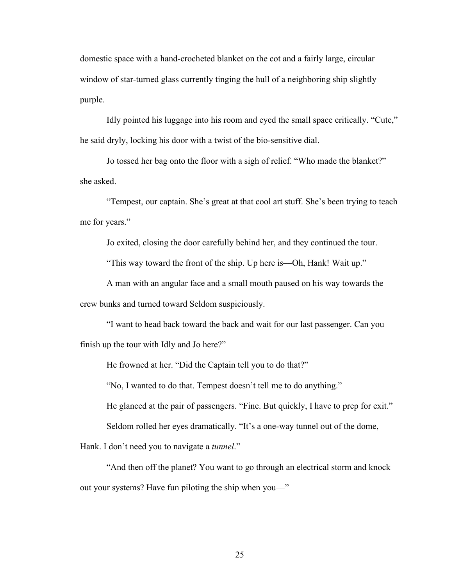domestic space with a hand-crocheted blanket on the cot and a fairly large, circular window of star-turned glass currently tinging the hull of a neighboring ship slightly purple.

Idly pointed his luggage into his room and eyed the small space critically. "Cute," he said dryly, locking his door with a twist of the bio-sensitive dial.

Jo tossed her bag onto the floor with a sigh of relief. "Who made the blanket?" she asked.

"Tempest, our captain. She's great at that cool art stuff. She's been trying to teach me for years."

Jo exited, closing the door carefully behind her, and they continued the tour.

"This way toward the front of the ship. Up here is––Oh, Hank! Wait up."

A man with an angular face and a small mouth paused on his way towards the crew bunks and turned toward Seldom suspiciously.

"I want to head back toward the back and wait for our last passenger. Can you finish up the tour with Idly and Jo here?"

He frowned at her. "Did the Captain tell you to do that?"

"No, I wanted to do that. Tempest doesn't tell me to do anything."

He glanced at the pair of passengers. "Fine. But quickly, I have to prep for exit."

Seldom rolled her eyes dramatically. "It's a one-way tunnel out of the dome,

Hank. I don't need you to navigate a *tunnel*."

"And then off the planet? You want to go through an electrical storm and knock out your systems? Have fun piloting the ship when you—"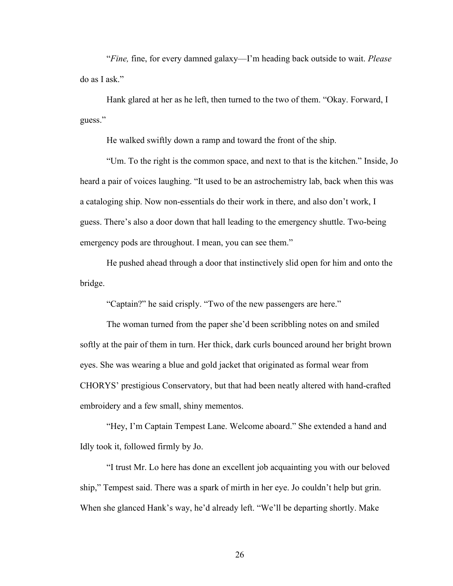"*Fine,* fine, for every damned galaxy––I'm heading back outside to wait. *Please* do as I ask."

Hank glared at her as he left, then turned to the two of them. "Okay. Forward, I guess."

He walked swiftly down a ramp and toward the front of the ship.

"Um. To the right is the common space, and next to that is the kitchen." Inside, Jo heard a pair of voices laughing. "It used to be an astrochemistry lab, back when this was a cataloging ship. Now non-essentials do their work in there, and also don't work, I guess. There's also a door down that hall leading to the emergency shuttle. Two-being emergency pods are throughout. I mean, you can see them."

He pushed ahead through a door that instinctively slid open for him and onto the bridge.

"Captain?" he said crisply. "Two of the new passengers are here."

The woman turned from the paper she'd been scribbling notes on and smiled softly at the pair of them in turn. Her thick, dark curls bounced around her bright brown eyes. She was wearing a blue and gold jacket that originated as formal wear from CHORYS' prestigious Conservatory, but that had been neatly altered with hand-crafted embroidery and a few small, shiny mementos.

"Hey, I'm Captain Tempest Lane. Welcome aboard." She extended a hand and Idly took it, followed firmly by Jo.

"I trust Mr. Lo here has done an excellent job acquainting you with our beloved ship," Tempest said. There was a spark of mirth in her eye. Jo couldn't help but grin. When she glanced Hank's way, he'd already left. "We'll be departing shortly. Make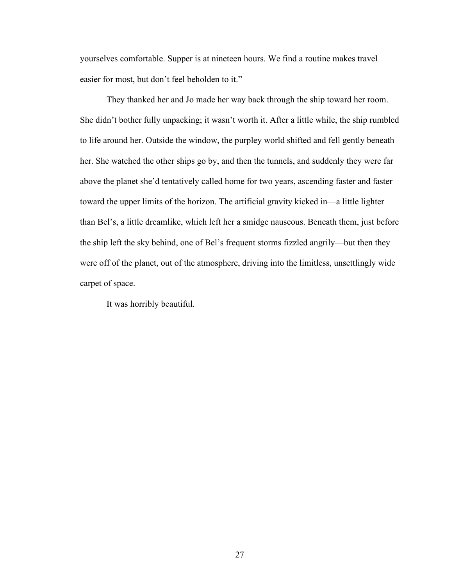yourselves comfortable. Supper is at nineteen hours. We find a routine makes travel easier for most, but don't feel beholden to it."

They thanked her and Jo made her way back through the ship toward her room. She didn't bother fully unpacking; it wasn't worth it. After a little while, the ship rumbled to life around her. Outside the window, the purpley world shifted and fell gently beneath her. She watched the other ships go by, and then the tunnels, and suddenly they were far above the planet she'd tentatively called home for two years, ascending faster and faster toward the upper limits of the horizon. The artificial gravity kicked in––a little lighter than Bel's, a little dreamlike, which left her a smidge nauseous. Beneath them, just before the ship left the sky behind, one of Bel's frequent storms fizzled angrily––but then they were off of the planet, out of the atmosphere, driving into the limitless, unsettlingly wide carpet of space.

It was horribly beautiful.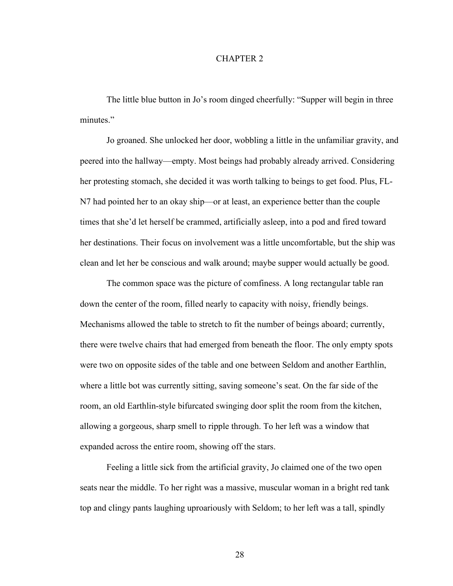#### CHAPTER 2

The little blue button in Jo's room dinged cheerfully: "Supper will begin in three minutes."

Jo groaned. She unlocked her door, wobbling a little in the unfamiliar gravity, and peered into the hallway––empty. Most beings had probably already arrived. Considering her protesting stomach, she decided it was worth talking to beings to get food. Plus, FL-N7 had pointed her to an okay ship––or at least, an experience better than the couple times that she'd let herself be crammed, artificially asleep, into a pod and fired toward her destinations. Their focus on involvement was a little uncomfortable, but the ship was clean and let her be conscious and walk around; maybe supper would actually be good.

The common space was the picture of comfiness. A long rectangular table ran down the center of the room, filled nearly to capacity with noisy, friendly beings. Mechanisms allowed the table to stretch to fit the number of beings aboard; currently, there were twelve chairs that had emerged from beneath the floor. The only empty spots were two on opposite sides of the table and one between Seldom and another Earthlin, where a little bot was currently sitting, saving someone's seat. On the far side of the room, an old Earthlin-style bifurcated swinging door split the room from the kitchen, allowing a gorgeous, sharp smell to ripple through. To her left was a window that expanded across the entire room, showing off the stars.

Feeling a little sick from the artificial gravity, Jo claimed one of the two open seats near the middle. To her right was a massive, muscular woman in a bright red tank top and clingy pants laughing uproariously with Seldom; to her left was a tall, spindly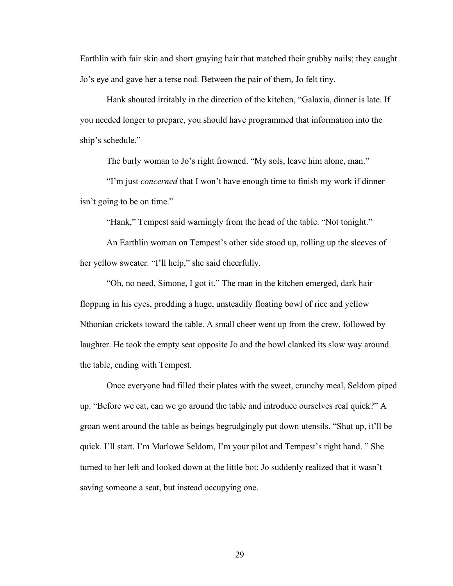Earthlin with fair skin and short graying hair that matched their grubby nails; they caught Jo's eye and gave her a terse nod. Between the pair of them, Jo felt tiny.

Hank shouted irritably in the direction of the kitchen, "Galaxia, dinner is late. If you needed longer to prepare, you should have programmed that information into the ship's schedule."

The burly woman to Jo's right frowned. "My sols, leave him alone, man."

"I'm just *concerned* that I won't have enough time to finish my work if dinner isn't going to be on time."

"Hank," Tempest said warningly from the head of the table. "Not tonight."

An Earthlin woman on Tempest's other side stood up, rolling up the sleeves of her yellow sweater. "I'll help," she said cheerfully.

"Oh, no need, Simone, I got it." The man in the kitchen emerged, dark hair flopping in his eyes, prodding a huge, unsteadily floating bowl of rice and yellow Nthonian crickets toward the table. A small cheer went up from the crew, followed by laughter. He took the empty seat opposite Jo and the bowl clanked its slow way around the table, ending with Tempest.

Once everyone had filled their plates with the sweet, crunchy meal, Seldom piped up. "Before we eat, can we go around the table and introduce ourselves real quick?" A groan went around the table as beings begrudgingly put down utensils. "Shut up, it'll be quick. I'll start. I'm Marlowe Seldom, I'm your pilot and Tempest's right hand. " She turned to her left and looked down at the little bot; Jo suddenly realized that it wasn't saving someone a seat, but instead occupying one.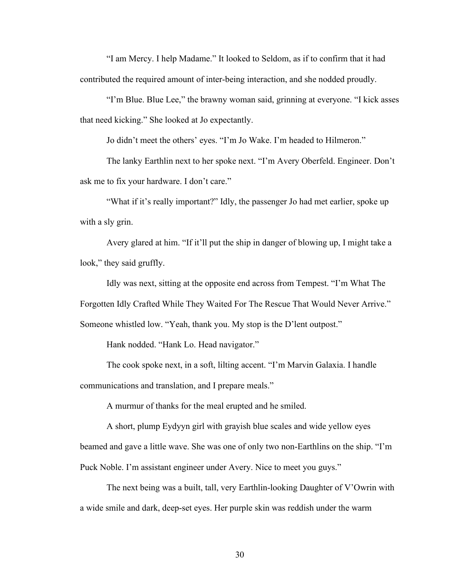"I am Mercy. I help Madame." It looked to Seldom, as if to confirm that it had contributed the required amount of inter-being interaction, and she nodded proudly.

"I'm Blue. Blue Lee," the brawny woman said, grinning at everyone. "I kick asses that need kicking." She looked at Jo expectantly.

Jo didn't meet the others' eyes. "I'm Jo Wake. I'm headed to Hilmeron."

The lanky Earthlin next to her spoke next. "I'm Avery Oberfeld. Engineer. Don't ask me to fix your hardware. I don't care."

"What if it's really important?" Idly, the passenger Jo had met earlier, spoke up with a sly grin.

Avery glared at him. "If it'll put the ship in danger of blowing up, I might take a look," they said gruffly.

Idly was next, sitting at the opposite end across from Tempest. "I'm What The Forgotten Idly Crafted While They Waited For The Rescue That Would Never Arrive." Someone whistled low. "Yeah, thank you. My stop is the D'lent outpost."

Hank nodded. "Hank Lo. Head navigator."

The cook spoke next, in a soft, lilting accent. "I'm Marvin Galaxia. I handle communications and translation, and I prepare meals."

A murmur of thanks for the meal erupted and he smiled.

A short, plump Eydyyn girl with grayish blue scales and wide yellow eyes beamed and gave a little wave. She was one of only two non-Earthlins on the ship. "I'm Puck Noble. I'm assistant engineer under Avery. Nice to meet you guys."

The next being was a built, tall, very Earthlin-looking Daughter of V'Owrin with a wide smile and dark, deep-set eyes. Her purple skin was reddish under the warm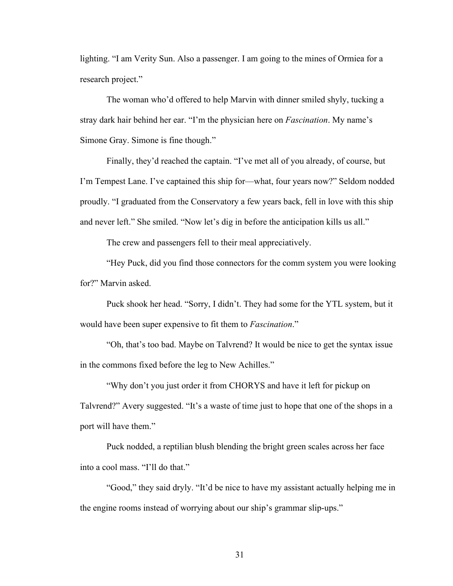lighting. "I am Verity Sun. Also a passenger. I am going to the mines of Ormiea for a research project."

The woman who'd offered to help Marvin with dinner smiled shyly, tucking a stray dark hair behind her ear. "I'm the physician here on *Fascination*. My name's Simone Gray. Simone is fine though."

Finally, they'd reached the captain. "I've met all of you already, of course, but I'm Tempest Lane. I've captained this ship for––what, four years now?" Seldom nodded proudly. "I graduated from the Conservatory a few years back, fell in love with this ship and never left." She smiled. "Now let's dig in before the anticipation kills us all."

The crew and passengers fell to their meal appreciatively.

"Hey Puck, did you find those connectors for the comm system you were looking for?" Marvin asked.

Puck shook her head. "Sorry, I didn't. They had some for the YTL system, but it would have been super expensive to fit them to *Fascination*."

"Oh, that's too bad. Maybe on Talvrend? It would be nice to get the syntax issue in the commons fixed before the leg to New Achilles."

"Why don't you just order it from CHORYS and have it left for pickup on Talvrend?" Avery suggested. "It's a waste of time just to hope that one of the shops in a port will have them."

Puck nodded, a reptilian blush blending the bright green scales across her face into a cool mass. "I'll do that."

"Good," they said dryly. "It'd be nice to have my assistant actually helping me in the engine rooms instead of worrying about our ship's grammar slip-ups."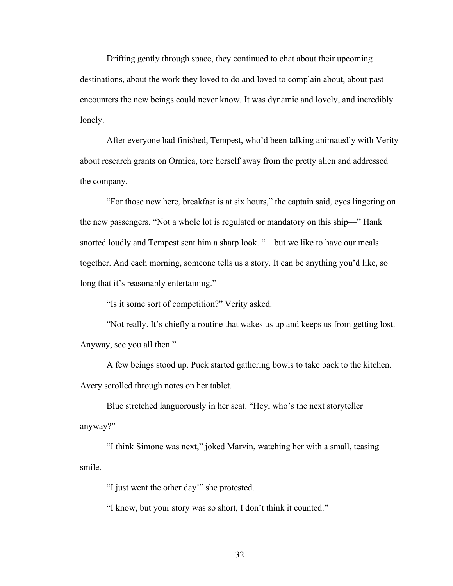Drifting gently through space, they continued to chat about their upcoming destinations, about the work they loved to do and loved to complain about, about past encounters the new beings could never know. It was dynamic and lovely, and incredibly lonely.

After everyone had finished, Tempest, who'd been talking animatedly with Verity about research grants on Ormiea, tore herself away from the pretty alien and addressed the company.

"For those new here, breakfast is at six hours," the captain said, eyes lingering on the new passengers. "Not a whole lot is regulated or mandatory on this ship––" Hank snorted loudly and Tempest sent him a sharp look. "––but we like to have our meals together. And each morning, someone tells us a story. It can be anything you'd like, so long that it's reasonably entertaining."

"Is it some sort of competition?" Verity asked.

"Not really. It's chiefly a routine that wakes us up and keeps us from getting lost. Anyway, see you all then."

A few beings stood up. Puck started gathering bowls to take back to the kitchen. Avery scrolled through notes on her tablet.

Blue stretched languorously in her seat. "Hey, who's the next storyteller anyway?"

"I think Simone was next," joked Marvin, watching her with a small, teasing smile.

"I just went the other day!" she protested.

"I know, but your story was so short, I don't think it counted."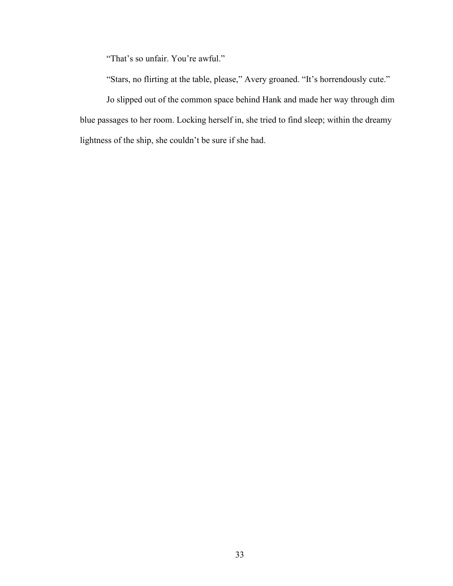"That's so unfair. You're awful."

"Stars, no flirting at the table, please," Avery groaned. "It's horrendously cute."

Jo slipped out of the common space behind Hank and made her way through dim blue passages to her room. Locking herself in, she tried to find sleep; within the dreamy lightness of the ship, she couldn't be sure if she had.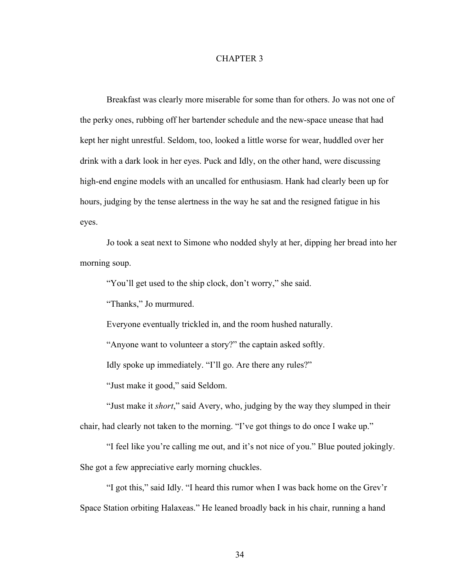### CHAPTER 3

Breakfast was clearly more miserable for some than for others. Jo was not one of the perky ones, rubbing off her bartender schedule and the new-space unease that had kept her night unrestful. Seldom, too, looked a little worse for wear, huddled over her drink with a dark look in her eyes. Puck and Idly, on the other hand, were discussing high-end engine models with an uncalled for enthusiasm. Hank had clearly been up for hours, judging by the tense alertness in the way he sat and the resigned fatigue in his eyes.

Jo took a seat next to Simone who nodded shyly at her, dipping her bread into her morning soup.

"You'll get used to the ship clock, don't worry," she said.

"Thanks," Jo murmured.

Everyone eventually trickled in, and the room hushed naturally.

"Anyone want to volunteer a story?" the captain asked softly.

Idly spoke up immediately. "I'll go. Are there any rules?"

"Just make it good," said Seldom.

"Just make it *short*," said Avery, who, judging by the way they slumped in their chair, had clearly not taken to the morning. "I've got things to do once I wake up."

"I feel like you're calling me out, and it's not nice of you." Blue pouted jokingly. She got a few appreciative early morning chuckles.

"I got this," said Idly. "I heard this rumor when I was back home on the Grev'r Space Station orbiting Halaxeas." He leaned broadly back in his chair, running a hand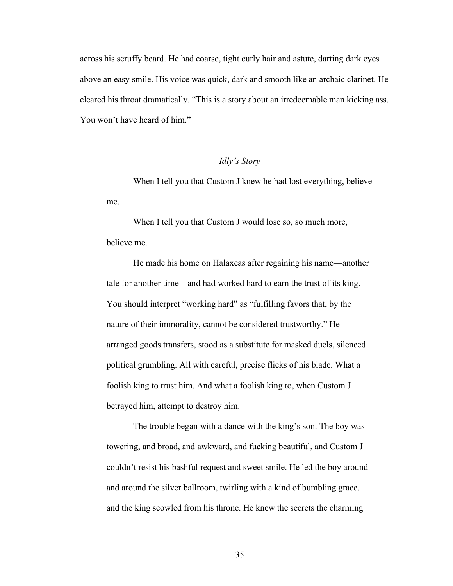across his scruffy beard. He had coarse, tight curly hair and astute, darting dark eyes above an easy smile. His voice was quick, dark and smooth like an archaic clarinet. He cleared his throat dramatically. "This is a story about an irredeemable man kicking ass. You won't have heard of him."

# *Idly's Story*

When I tell you that Custom J knew he had lost everything, believe me.

When I tell you that Custom J would lose so, so much more, believe me.

He made his home on Halaxeas after regaining his name––another tale for another time––and had worked hard to earn the trust of its king. You should interpret "working hard" as "fulfilling favors that, by the nature of their immorality, cannot be considered trustworthy." He arranged goods transfers, stood as a substitute for masked duels, silenced political grumbling. All with careful, precise flicks of his blade. What a foolish king to trust him. And what a foolish king to, when Custom J betrayed him, attempt to destroy him.

The trouble began with a dance with the king's son. The boy was towering, and broad, and awkward, and fucking beautiful, and Custom J couldn't resist his bashful request and sweet smile. He led the boy around and around the silver ballroom, twirling with a kind of bumbling grace, and the king scowled from his throne. He knew the secrets the charming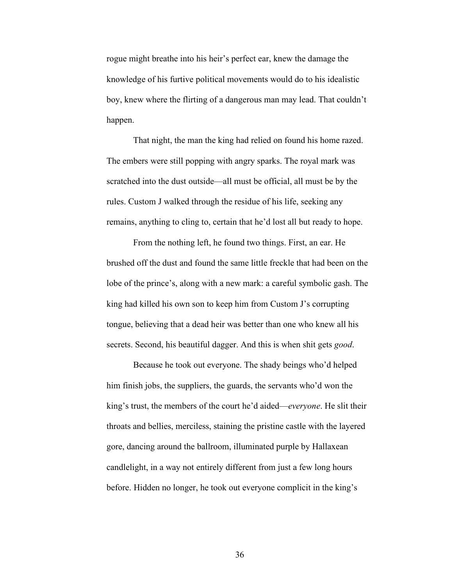rogue might breathe into his heir's perfect ear, knew the damage the knowledge of his furtive political movements would do to his idealistic boy, knew where the flirting of a dangerous man may lead. That couldn't happen.

That night, the man the king had relied on found his home razed. The embers were still popping with angry sparks. The royal mark was scratched into the dust outside––all must be official, all must be by the rules. Custom J walked through the residue of his life, seeking any remains, anything to cling to, certain that he'd lost all but ready to hope.

From the nothing left, he found two things. First, an ear. He brushed off the dust and found the same little freckle that had been on the lobe of the prince's, along with a new mark: a careful symbolic gash. The king had killed his own son to keep him from Custom J's corrupting tongue, believing that a dead heir was better than one who knew all his secrets. Second, his beautiful dagger. And this is when shit gets *good*.

Because he took out everyone. The shady beings who'd helped him finish jobs, the suppliers, the guards, the servants who'd won the king's trust, the members of the court he'd aided*––everyone*. He slit their throats and bellies, merciless, staining the pristine castle with the layered gore, dancing around the ballroom, illuminated purple by Hallaxean candlelight, in a way not entirely different from just a few long hours before. Hidden no longer, he took out everyone complicit in the king's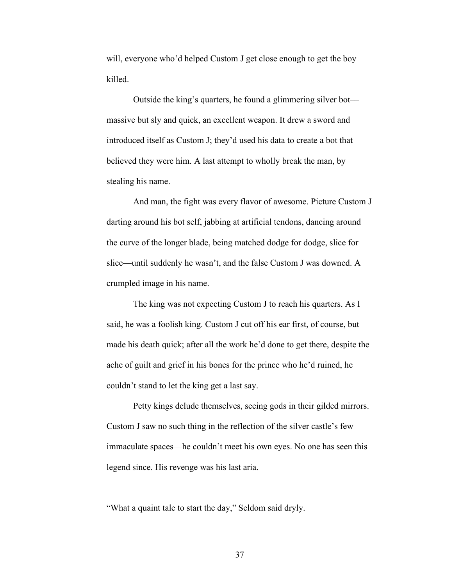will, everyone who'd helped Custom J get close enough to get the boy killed.

Outside the king's quarters, he found a glimmering silver bot–– massive but sly and quick, an excellent weapon. It drew a sword and introduced itself as Custom J; they'd used his data to create a bot that believed they were him. A last attempt to wholly break the man, by stealing his name.

And man, the fight was every flavor of awesome. Picture Custom J darting around his bot self, jabbing at artificial tendons, dancing around the curve of the longer blade, being matched dodge for dodge, slice for slice––until suddenly he wasn't, and the false Custom J was downed. A crumpled image in his name.

The king was not expecting Custom J to reach his quarters. As I said, he was a foolish king. Custom J cut off his ear first, of course, but made his death quick; after all the work he'd done to get there, despite the ache of guilt and grief in his bones for the prince who he'd ruined, he couldn't stand to let the king get a last say.

Petty kings delude themselves, seeing gods in their gilded mirrors. Custom J saw no such thing in the reflection of the silver castle's few immaculate spaces––he couldn't meet his own eyes. No one has seen this legend since. His revenge was his last aria.

"What a quaint tale to start the day," Seldom said dryly.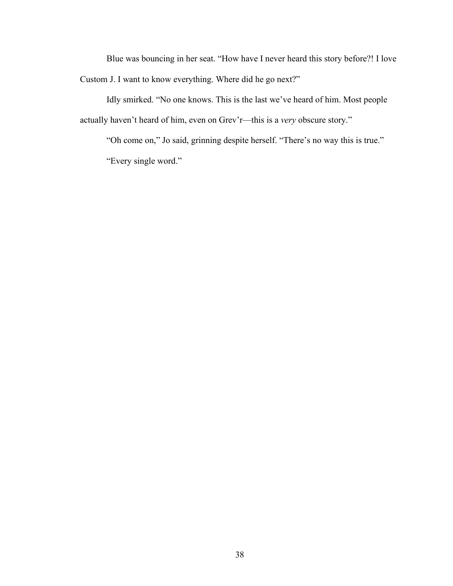Blue was bouncing in her seat. "How have I never heard this story before?! I love Custom J. I want to know everything. Where did he go next?"

Idly smirked. "No one knows. This is the last we've heard of him. Most people actually haven't heard of him, even on Grev'r––this is a *very* obscure story."

"Oh come on," Jo said, grinning despite herself. "There's no way this is true." "Every single word."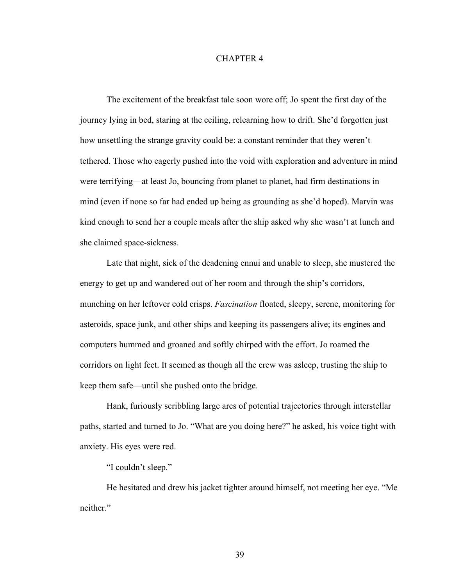### CHAPTER 4

The excitement of the breakfast tale soon wore off; Jo spent the first day of the journey lying in bed, staring at the ceiling, relearning how to drift. She'd forgotten just how unsettling the strange gravity could be: a constant reminder that they weren't tethered. Those who eagerly pushed into the void with exploration and adventure in mind were terrifying––at least Jo, bouncing from planet to planet, had firm destinations in mind (even if none so far had ended up being as grounding as she'd hoped). Marvin was kind enough to send her a couple meals after the ship asked why she wasn't at lunch and she claimed space-sickness.

Late that night, sick of the deadening ennui and unable to sleep, she mustered the energy to get up and wandered out of her room and through the ship's corridors, munching on her leftover cold crisps. *Fascination* floated, sleepy, serene, monitoring for asteroids, space junk, and other ships and keeping its passengers alive; its engines and computers hummed and groaned and softly chirped with the effort. Jo roamed the corridors on light feet. It seemed as though all the crew was asleep, trusting the ship to keep them safe––until she pushed onto the bridge.

Hank, furiously scribbling large arcs of potential trajectories through interstellar paths, started and turned to Jo. "What are you doing here?" he asked, his voice tight with anxiety. His eyes were red.

"I couldn't sleep."

He hesitated and drew his jacket tighter around himself, not meeting her eye. "Me neither."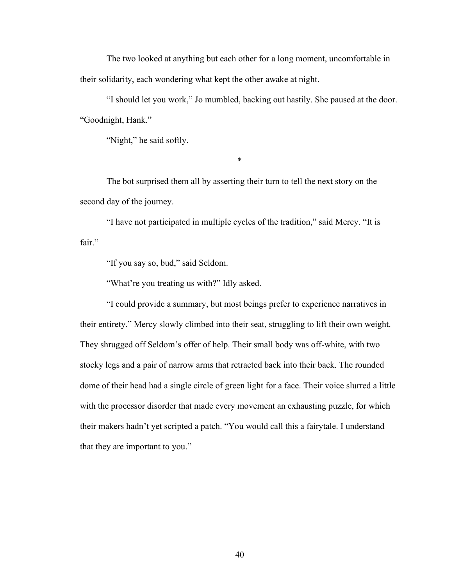The two looked at anything but each other for a long moment, uncomfortable in their solidarity, each wondering what kept the other awake at night.

"I should let you work," Jo mumbled, backing out hastily. She paused at the door. "Goodnight, Hank."

"Night," he said softly.

\*

The bot surprised them all by asserting their turn to tell the next story on the second day of the journey.

"I have not participated in multiple cycles of the tradition," said Mercy. "It is fair."

"If you say so, bud," said Seldom.

"What're you treating us with?" Idly asked.

"I could provide a summary, but most beings prefer to experience narratives in their entirety." Mercy slowly climbed into their seat, struggling to lift their own weight. They shrugged off Seldom's offer of help. Their small body was off-white, with two stocky legs and a pair of narrow arms that retracted back into their back. The rounded dome of their head had a single circle of green light for a face. Their voice slurred a little with the processor disorder that made every movement an exhausting puzzle, for which their makers hadn't yet scripted a patch. "You would call this a fairytale. I understand that they are important to you."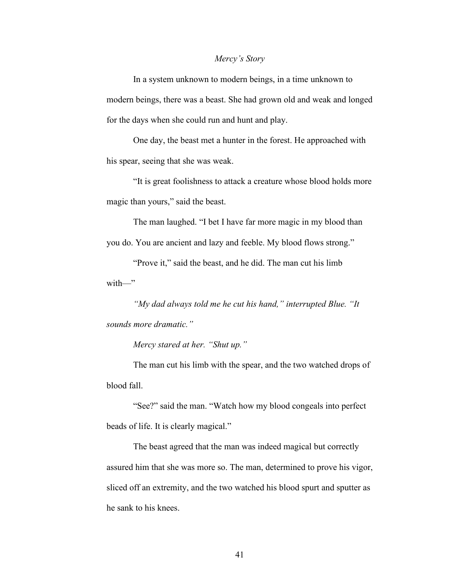### *Mercy's Story*

In a system unknown to modern beings, in a time unknown to modern beings, there was a beast. She had grown old and weak and longed for the days when she could run and hunt and play.

One day, the beast met a hunter in the forest. He approached with his spear, seeing that she was weak.

"It is great foolishness to attack a creature whose blood holds more magic than yours," said the beast.

The man laughed. "I bet I have far more magic in my blood than you do. You are ancient and lazy and feeble. My blood flows strong."

"Prove it," said the beast, and he did. The man cut his limb with—"

*"My dad always told me he cut his hand," interrupted Blue. "It sounds more dramatic."*

*Mercy stared at her. "Shut up."*

The man cut his limb with the spear, and the two watched drops of blood fall.

"See?" said the man. "Watch how my blood congeals into perfect beads of life. It is clearly magical."

The beast agreed that the man was indeed magical but correctly assured him that she was more so. The man, determined to prove his vigor, sliced off an extremity, and the two watched his blood spurt and sputter as he sank to his knees.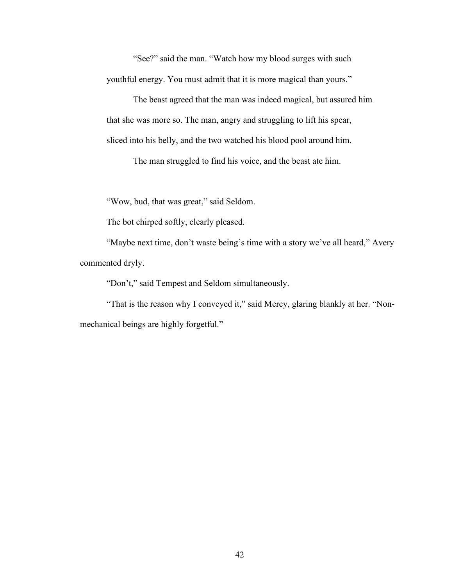"See?" said the man. "Watch how my blood surges with such youthful energy. You must admit that it is more magical than yours."

The beast agreed that the man was indeed magical, but assured him that she was more so. The man, angry and struggling to lift his spear, sliced into his belly, and the two watched his blood pool around him.

The man struggled to find his voice, and the beast ate him.

"Wow, bud, that was great," said Seldom.

The bot chirped softly, clearly pleased.

"Maybe next time, don't waste being's time with a story we've all heard," Avery commented dryly.

"Don't," said Tempest and Seldom simultaneously.

"That is the reason why I conveyed it," said Mercy, glaring blankly at her. "Nonmechanical beings are highly forgetful."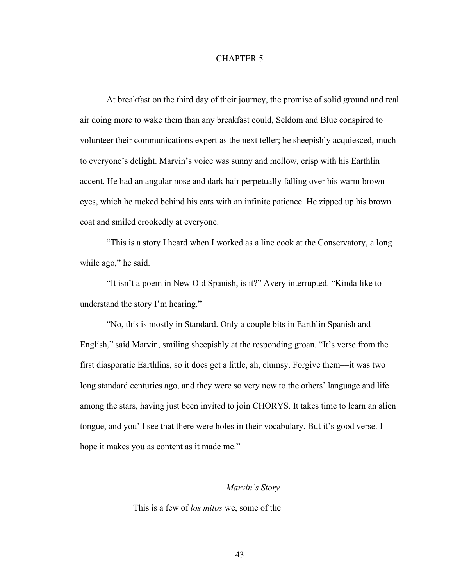### CHAPTER 5

At breakfast on the third day of their journey, the promise of solid ground and real air doing more to wake them than any breakfast could, Seldom and Blue conspired to volunteer their communications expert as the next teller; he sheepishly acquiesced, much to everyone's delight. Marvin's voice was sunny and mellow, crisp with his Earthlin accent. He had an angular nose and dark hair perpetually falling over his warm brown eyes, which he tucked behind his ears with an infinite patience. He zipped up his brown coat and smiled crookedly at everyone.

"This is a story I heard when I worked as a line cook at the Conservatory, a long while ago," he said.

"It isn't a poem in New Old Spanish, is it?" Avery interrupted. "Kinda like to understand the story I'm hearing."

"No, this is mostly in Standard. Only a couple bits in Earthlin Spanish and English," said Marvin, smiling sheepishly at the responding groan. "It's verse from the first diasporatic Earthlins, so it does get a little, ah, clumsy. Forgive them––it was two long standard centuries ago, and they were so very new to the others' language and life among the stars, having just been invited to join CHORYS. It takes time to learn an alien tongue, and you'll see that there were holes in their vocabulary. But it's good verse. I hope it makes you as content as it made me."

### *Marvin's Story*

This is a few of *los mitos* we, some of the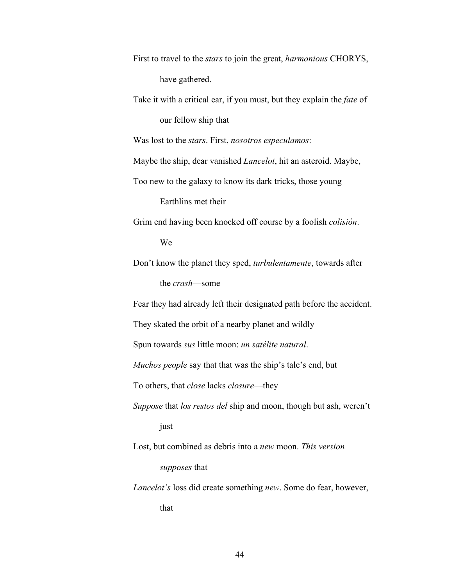First to travel to the *stars* to join the great, *harmonious* CHORYS, have gathered.

Take it with a critical ear, if you must, but they explain the *fate* of our fellow ship that

Was lost to the *stars*. First, *nosotros especulamos*:

Maybe the ship, dear vanished *Lancelot*, hit an asteroid. Maybe,

Too new to the galaxy to know its dark tricks, those young

Earthlins met their

Grim end having been knocked off course by a foolish *colisión*.

We

Don't know the planet they sped, *turbulentamente*, towards after

the *crash*––some

Fear they had already left their designated path before the accident.

They skated the orbit of a nearby planet and wildly

Spun towards *sus* little moon: *un satélite natural*.

*Muchos people* say that that was the ship's tale's end, but

To others, that *close* lacks *closure––*they

*Suppose* that *los restos del* ship and moon, though but ash, weren't just

Lost, but combined as debris into a *new* moon. *This version*

*supposes* that

*Lancelot's* loss did create something *new*. Some do fear, however,

that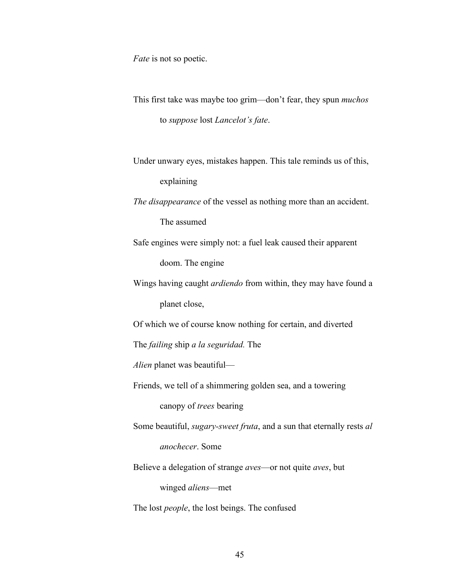*Fate* is not so poetic.

This first take was maybe too grim––don't fear, they spun *muchos* to *suppose* lost *Lancelot's fate*.

Under unwary eyes, mistakes happen. This tale reminds us of this, explaining

*The disappearance* of the vessel as nothing more than an accident.

The assumed

Safe engines were simply not: a fuel leak caused their apparent

doom. The engine

Wings having caught *ardiendo* from within, they may have found a planet close,

Of which we of course know nothing for certain, and diverted

The *failing* ship *a la seguridad.* The

*Alien* planet was beautiful––

Friends, we tell of a shimmering golden sea, and a towering

canopy of *trees* bearing

Some beautiful, *sugary-sweet fruta*, and a sun that eternally rests *al anochecer*. Some

Believe a delegation of strange *aves*––or not quite *aves*, but

winged *aliens––*met

The lost *people*, the lost beings. The confused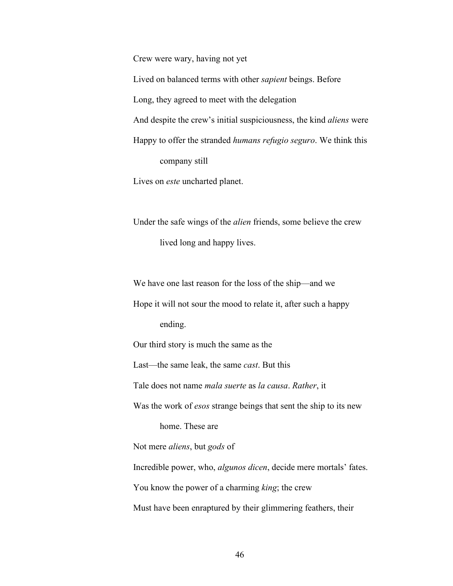Crew were wary, having not yet Lived on balanced terms with other *sapient* beings. Before Long, they agreed to meet with the delegation And despite the crew's initial suspiciousness, the kind *aliens* were Happy to offer the stranded *humans refugio seguro*. We think this company still

Lives on *este* uncharted planet.

Under the safe wings of the *alien* friends, some believe the crew lived long and happy lives.

We have one last reason for the loss of the ship—and we

Hope it will not sour the mood to relate it, after such a happy ending.

Our third story is much the same as the

Last––the same leak, the same *cast*. But this

Tale does not name *mala suerte* as *la causa*. *Rather*, it

Was the work of *esos* strange beings that sent the ship to its new home. These are

Not mere *aliens*, but *gods* of

Incredible power, who, *algunos dicen*, decide mere mortals' fates.

You know the power of a charming *king*; the crew

Must have been enraptured by their glimmering feathers, their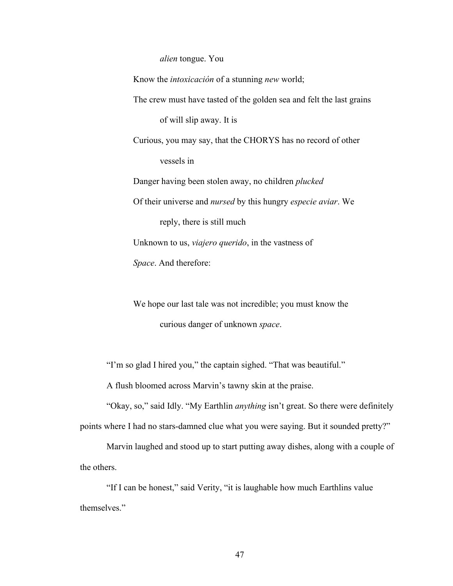*alien* tongue. You

Know the *intoxicación* of a stunning *new* world; The crew must have tasted of the golden sea and felt the last grains of will slip away. It is Curious, you may say, that the CHORYS has no record of other vessels in Danger having been stolen away, no children *plucked* Of their universe and *nursed* by this hungry *especie aviar*. We reply, there is still much Unknown to us, *viajero querido*, in the vastness of *Space*. And therefore:

We hope our last tale was not incredible; you must know the curious danger of unknown *space*.

"I'm so glad I hired you," the captain sighed. "That was beautiful."

A flush bloomed across Marvin's tawny skin at the praise.

"Okay, so," said Idly. "My Earthlin *anything* isn't great. So there were definitely points where I had no stars-damned clue what you were saying. But it sounded pretty?"

Marvin laughed and stood up to start putting away dishes, along with a couple of the others.

"If I can be honest," said Verity, "it is laughable how much Earthlins value themselves."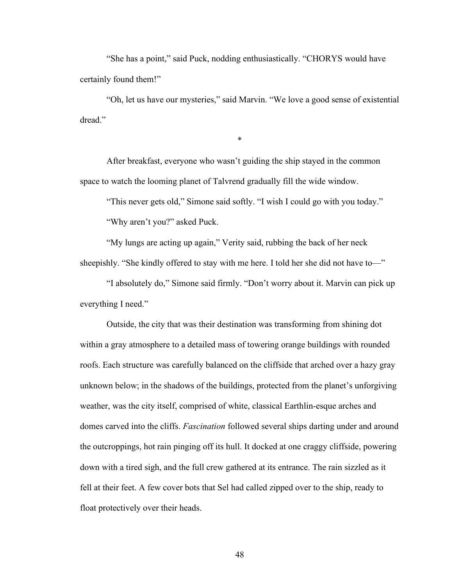"She has a point," said Puck, nodding enthusiastically. "CHORYS would have certainly found them!"

"Oh, let us have our mysteries," said Marvin. "We love a good sense of existential dread"

\*

After breakfast, everyone who wasn't guiding the ship stayed in the common space to watch the looming planet of Talvrend gradually fill the wide window.

"This never gets old," Simone said softly. "I wish I could go with you today."

"Why aren't you?" asked Puck.

"My lungs are acting up again," Verity said, rubbing the back of her neck sheepishly. "She kindly offered to stay with me here. I told her she did not have to—"

"I absolutely do," Simone said firmly. "Don't worry about it. Marvin can pick up everything I need."

Outside, the city that was their destination was transforming from shining dot within a gray atmosphere to a detailed mass of towering orange buildings with rounded roofs. Each structure was carefully balanced on the cliffside that arched over a hazy gray unknown below; in the shadows of the buildings, protected from the planet's unforgiving weather, was the city itself, comprised of white, classical Earthlin-esque arches and domes carved into the cliffs. *Fascination* followed several ships darting under and around the outcroppings, hot rain pinging off its hull. It docked at one craggy cliffside, powering down with a tired sigh, and the full crew gathered at its entrance. The rain sizzled as it fell at their feet. A few cover bots that Sel had called zipped over to the ship, ready to float protectively over their heads.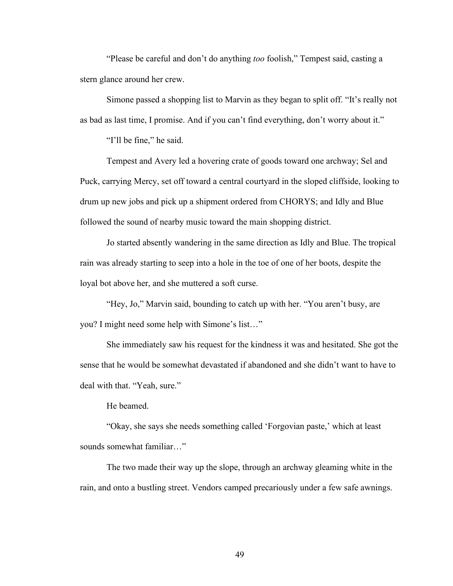"Please be careful and don't do anything *too* foolish," Tempest said, casting a stern glance around her crew.

Simone passed a shopping list to Marvin as they began to split off. "It's really not as bad as last time, I promise. And if you can't find everything, don't worry about it."

"I'll be fine," he said.

Tempest and Avery led a hovering crate of goods toward one archway; Sel and Puck, carrying Mercy, set off toward a central courtyard in the sloped cliffside, looking to drum up new jobs and pick up a shipment ordered from CHORYS; and Idly and Blue followed the sound of nearby music toward the main shopping district.

Jo started absently wandering in the same direction as Idly and Blue. The tropical rain was already starting to seep into a hole in the toe of one of her boots, despite the loyal bot above her, and she muttered a soft curse.

"Hey, Jo," Marvin said, bounding to catch up with her. "You aren't busy, are you? I might need some help with Simone's list…"

She immediately saw his request for the kindness it was and hesitated. She got the sense that he would be somewhat devastated if abandoned and she didn't want to have to deal with that. "Yeah, sure."

He beamed.

"Okay, she says she needs something called 'Forgovian paste,' which at least sounds somewhat familiar…"

The two made their way up the slope, through an archway gleaming white in the rain, and onto a bustling street. Vendors camped precariously under a few safe awnings.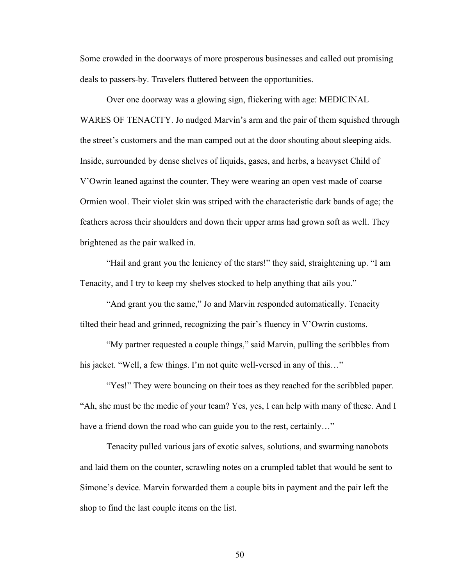Some crowded in the doorways of more prosperous businesses and called out promising deals to passers-by. Travelers fluttered between the opportunities.

Over one doorway was a glowing sign, flickering with age: MEDICINAL WARES OF TENACITY. Jo nudged Marvin's arm and the pair of them squished through the street's customers and the man camped out at the door shouting about sleeping aids. Inside, surrounded by dense shelves of liquids, gases, and herbs, a heavyset Child of V'Owrin leaned against the counter. They were wearing an open vest made of coarse Ormien wool. Their violet skin was striped with the characteristic dark bands of age; the feathers across their shoulders and down their upper arms had grown soft as well. They brightened as the pair walked in.

"Hail and grant you the leniency of the stars!" they said, straightening up. "I am Tenacity, and I try to keep my shelves stocked to help anything that ails you."

"And grant you the same," Jo and Marvin responded automatically. Tenacity tilted their head and grinned, recognizing the pair's fluency in V'Owrin customs.

"My partner requested a couple things," said Marvin, pulling the scribbles from his jacket. "Well, a few things. I'm not quite well-versed in any of this..."

"Yes!" They were bouncing on their toes as they reached for the scribbled paper. "Ah, she must be the medic of your team? Yes, yes, I can help with many of these. And I have a friend down the road who can guide you to the rest, certainly..."

Tenacity pulled various jars of exotic salves, solutions, and swarming nanobots and laid them on the counter, scrawling notes on a crumpled tablet that would be sent to Simone's device. Marvin forwarded them a couple bits in payment and the pair left the shop to find the last couple items on the list.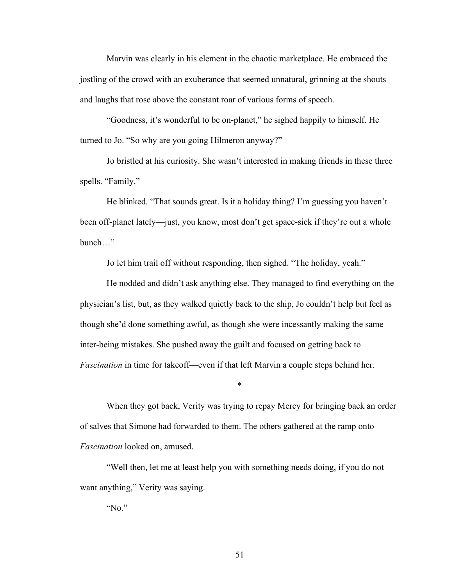Marvin was clearly in his element in the chaotic marketplace. He embraced the jostling of the crowd with an exuberance that seemed unnatural, grinning at the shouts and laughs that rose above the constant roar of various forms of speech.

"Goodness, it's wonderful to be on-planet," he sighed happily to himself. He turned to Jo. "So why are you going Hilmeron anyway?"

Jo bristled at his curiosity. She wasn't interested in making friends in these three spells. "Family."

He blinked. "That sounds great. Is it a holiday thing? I'm guessing you haven't been off-planet lately—just, you know, most don't get space-sick if they're out a whole bunch "

Jo let him trail off without responding, then sighed. "The holiday, yeah."

He nodded and didn't ask anything else. They managed to find everything on the physician's list, but, as they walked quietly back to the ship, Jo couldn't help but feel as though she'd done something awful, as though she were incessantly making the same inter-being mistakes. She pushed away the guilt and focused on getting back to *Fascination* in time for takeoff––even if that left Marvin a couple steps behind her.

When they got back, Verity was trying to repay Mercy for bringing back an order of salves that Simone had forwarded to them. The others gathered at the ramp onto *Fascination* looked on, amused.

\*

"Well then, let me at least help you with something needs doing, if you do not want anything," Verity was saying.

"No."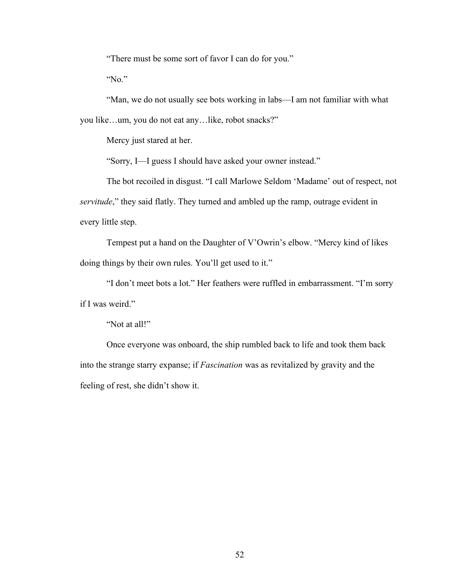"There must be some sort of favor I can do for you."

"No."

"Man, we do not usually see bots working in labs––I am not familiar with what you like…um, you do not eat any…like, robot snacks?"

Mercy just stared at her.

"Sorry, I––I guess I should have asked your owner instead."

The bot recoiled in disgust. "I call Marlowe Seldom 'Madame' out of respect, not *servitude*," they said flatly. They turned and ambled up the ramp, outrage evident in every little step.

Tempest put a hand on the Daughter of V'Owrin's elbow. "Mercy kind of likes doing things by their own rules. You'll get used to it."

"I don't meet bots a lot." Her feathers were ruffled in embarrassment. "I'm sorry if I was weird."

"Not at all!"

Once everyone was onboard, the ship rumbled back to life and took them back into the strange starry expanse; if *Fascination* was as revitalized by gravity and the feeling of rest, she didn't show it.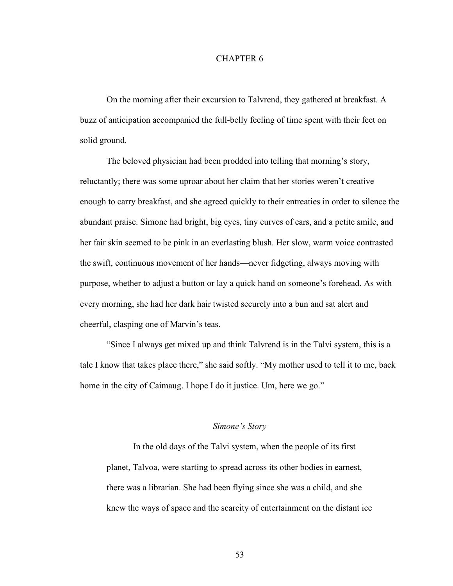### CHAPTER 6

On the morning after their excursion to Talvrend, they gathered at breakfast. A buzz of anticipation accompanied the full-belly feeling of time spent with their feet on solid ground.

The beloved physician had been prodded into telling that morning's story, reluctantly; there was some uproar about her claim that her stories weren't creative enough to carry breakfast, and she agreed quickly to their entreaties in order to silence the abundant praise. Simone had bright, big eyes, tiny curves of ears, and a petite smile, and her fair skin seemed to be pink in an everlasting blush. Her slow, warm voice contrasted the swift, continuous movement of her hands––never fidgeting, always moving with purpose, whether to adjust a button or lay a quick hand on someone's forehead. As with every morning, she had her dark hair twisted securely into a bun and sat alert and cheerful, clasping one of Marvin's teas.

"Since I always get mixed up and think Talvrend is in the Talvi system, this is a tale I know that takes place there," she said softly. "My mother used to tell it to me, back home in the city of Caimaug. I hope I do it justice. Um, here we go."

### *Simone's Story*

In the old days of the Talvi system, when the people of its first planet, Talvoa, were starting to spread across its other bodies in earnest, there was a librarian. She had been flying since she was a child, and she knew the ways of space and the scarcity of entertainment on the distant ice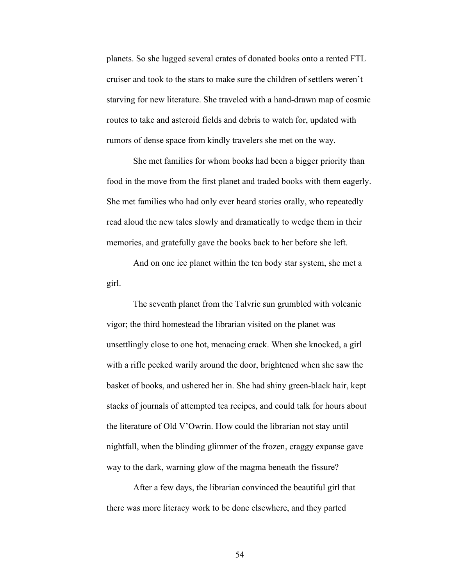planets. So she lugged several crates of donated books onto a rented FTL cruiser and took to the stars to make sure the children of settlers weren't starving for new literature. She traveled with a hand-drawn map of cosmic routes to take and asteroid fields and debris to watch for, updated with rumors of dense space from kindly travelers she met on the way.

She met families for whom books had been a bigger priority than food in the move from the first planet and traded books with them eagerly. She met families who had only ever heard stories orally, who repeatedly read aloud the new tales slowly and dramatically to wedge them in their memories, and gratefully gave the books back to her before she left.

And on one ice planet within the ten body star system, she met a girl.

The seventh planet from the Talvric sun grumbled with volcanic vigor; the third homestead the librarian visited on the planet was unsettlingly close to one hot, menacing crack. When she knocked, a girl with a rifle peeked warily around the door, brightened when she saw the basket of books, and ushered her in. She had shiny green-black hair, kept stacks of journals of attempted tea recipes, and could talk for hours about the literature of Old V'Owrin. How could the librarian not stay until nightfall, when the blinding glimmer of the frozen, craggy expanse gave way to the dark, warning glow of the magma beneath the fissure?

After a few days, the librarian convinced the beautiful girl that there was more literacy work to be done elsewhere, and they parted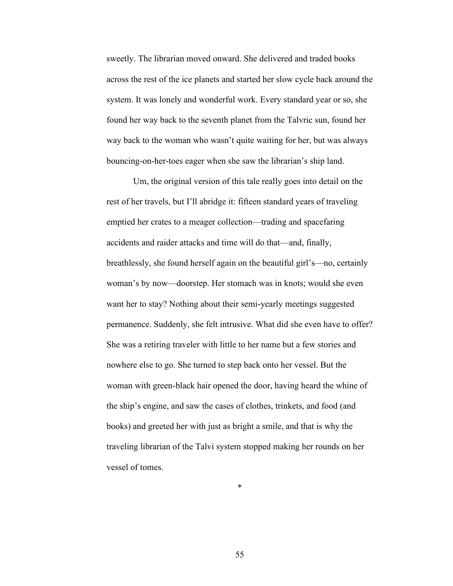sweetly. The librarian moved onward. She delivered and traded books across the rest of the ice planets and started her slow cycle back around the system. It was lonely and wonderful work. Every standard year or so, she found her way back to the seventh planet from the Talvric sun, found her way back to the woman who wasn't quite waiting for her, but was always bouncing-on-her-toes eager when she saw the librarian's ship land.

Um, the original version of this tale really goes into detail on the rest of her travels, but I'll abridge it: fifteen standard years of traveling emptied her crates to a meager collection––trading and spacefaring accidents and raider attacks and time will do that––and, finally, breathlessly, she found herself again on the beautiful girl's––no, certainly woman's by now––doorstep. Her stomach was in knots; would she even want her to stay? Nothing about their semi-yearly meetings suggested permanence. Suddenly, she felt intrusive. What did she even have to offer? She was a retiring traveler with little to her name but a few stories and nowhere else to go. She turned to step back onto her vessel. But the woman with green-black hair opened the door, having heard the whine of the ship's engine, and saw the cases of clothes, trinkets, and food (and books) and greeted her with just as bright a smile, and that is why the traveling librarian of the Talvi system stopped making her rounds on her vessel of tomes.

\*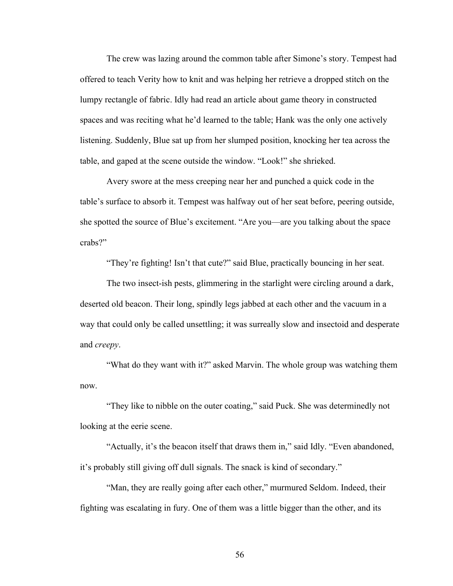The crew was lazing around the common table after Simone's story. Tempest had offered to teach Verity how to knit and was helping her retrieve a dropped stitch on the lumpy rectangle of fabric. Idly had read an article about game theory in constructed spaces and was reciting what he'd learned to the table; Hank was the only one actively listening. Suddenly, Blue sat up from her slumped position, knocking her tea across the table, and gaped at the scene outside the window. "Look!" she shrieked.

Avery swore at the mess creeping near her and punched a quick code in the table's surface to absorb it. Tempest was halfway out of her seat before, peering outside, she spotted the source of Blue's excitement. "Are you––are you talking about the space crabs?"

"They're fighting! Isn't that cute?" said Blue, practically bouncing in her seat.

The two insect-ish pests, glimmering in the starlight were circling around a dark, deserted old beacon. Their long, spindly legs jabbed at each other and the vacuum in a way that could only be called unsettling; it was surreally slow and insectoid and desperate and *creepy*.

"What do they want with it?" asked Marvin. The whole group was watching them now.

"They like to nibble on the outer coating," said Puck. She was determinedly not looking at the eerie scene.

"Actually, it's the beacon itself that draws them in," said Idly. "Even abandoned, it's probably still giving off dull signals. The snack is kind of secondary."

"Man, they are really going after each other," murmured Seldom. Indeed, their fighting was escalating in fury. One of them was a little bigger than the other, and its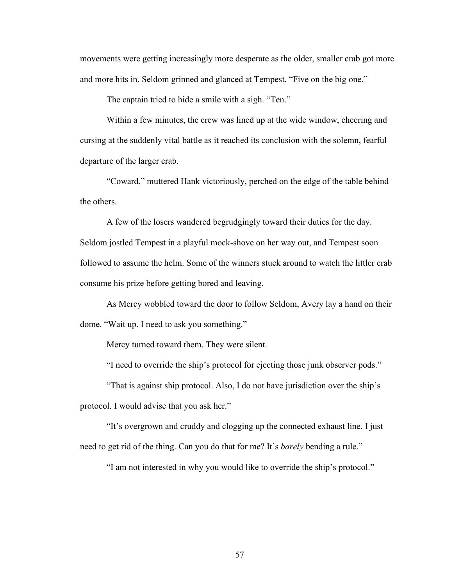movements were getting increasingly more desperate as the older, smaller crab got more and more hits in. Seldom grinned and glanced at Tempest. "Five on the big one."

The captain tried to hide a smile with a sigh. "Ten."

Within a few minutes, the crew was lined up at the wide window, cheering and cursing at the suddenly vital battle as it reached its conclusion with the solemn, fearful departure of the larger crab.

"Coward," muttered Hank victoriously, perched on the edge of the table behind the others.

A few of the losers wandered begrudgingly toward their duties for the day. Seldom jostled Tempest in a playful mock-shove on her way out, and Tempest soon followed to assume the helm. Some of the winners stuck around to watch the littler crab consume his prize before getting bored and leaving.

As Mercy wobbled toward the door to follow Seldom, Avery lay a hand on their dome. "Wait up. I need to ask you something."

Mercy turned toward them. They were silent.

"I need to override the ship's protocol for ejecting those junk observer pods."

"That is against ship protocol. Also, I do not have jurisdiction over the ship's protocol. I would advise that you ask her."

"It's overgrown and cruddy and clogging up the connected exhaust line. I just need to get rid of the thing. Can you do that for me? It's *barely* bending a rule."

"I am not interested in why you would like to override the ship's protocol."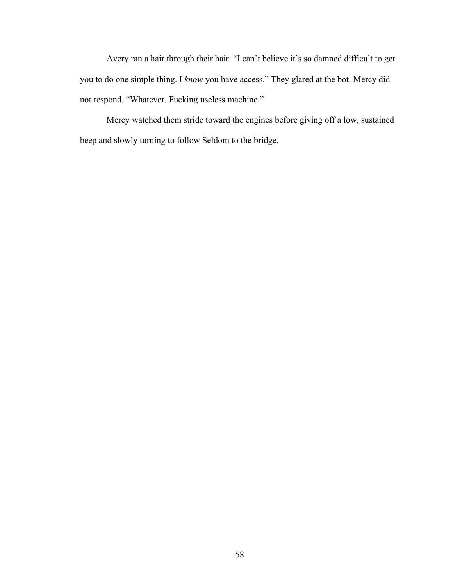Avery ran a hair through their hair. "I can't believe it's so damned difficult to get you to do one simple thing. I *know* you have access." They glared at the bot. Mercy did not respond. "Whatever. Fucking useless machine."

Mercy watched them stride toward the engines before giving off a low, sustained beep and slowly turning to follow Seldom to the bridge.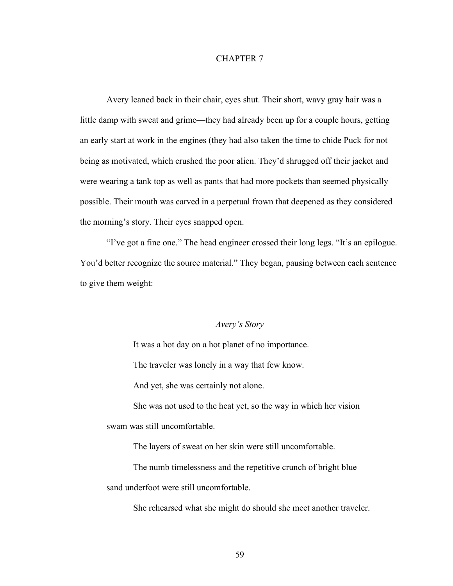### CHAPTER 7

Avery leaned back in their chair, eyes shut. Their short, wavy gray hair was a little damp with sweat and grime—they had already been up for a couple hours, getting an early start at work in the engines (they had also taken the time to chide Puck for not being as motivated, which crushed the poor alien. They'd shrugged off their jacket and were wearing a tank top as well as pants that had more pockets than seemed physically possible. Their mouth was carved in a perpetual frown that deepened as they considered the morning's story. Their eyes snapped open.

"I've got a fine one." The head engineer crossed their long legs. "It's an epilogue. You'd better recognize the source material." They began, pausing between each sentence to give them weight:

### *Avery's Story*

It was a hot day on a hot planet of no importance.

The traveler was lonely in a way that few know.

And yet, she was certainly not alone.

She was not used to the heat yet, so the way in which her vision swam was still uncomfortable.

The layers of sweat on her skin were still uncomfortable.

The numb timelessness and the repetitive crunch of bright blue sand underfoot were still uncomfortable.

She rehearsed what she might do should she meet another traveler.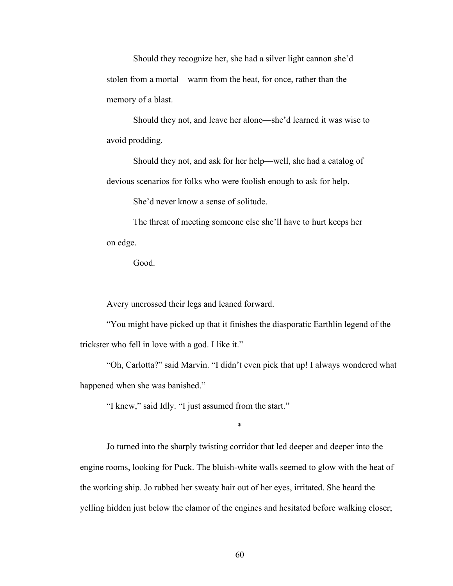Should they recognize her, she had a silver light cannon she'd stolen from a mortal––warm from the heat, for once, rather than the memory of a blast.

Should they not, and leave her alone––she'd learned it was wise to avoid prodding.

Should they not, and ask for her help––well, she had a catalog of devious scenarios for folks who were foolish enough to ask for help.

She'd never know a sense of solitude.

The threat of meeting someone else she'll have to hurt keeps her on edge.

Good.

Avery uncrossed their legs and leaned forward.

"You might have picked up that it finishes the diasporatic Earthlin legend of the trickster who fell in love with a god. I like it."

"Oh, Carlotta?" said Marvin. "I didn't even pick that up! I always wondered what happened when she was banished."

"I knew," said Idly. "I just assumed from the start."

\*

Jo turned into the sharply twisting corridor that led deeper and deeper into the engine rooms, looking for Puck. The bluish-white walls seemed to glow with the heat of the working ship. Jo rubbed her sweaty hair out of her eyes, irritated. She heard the yelling hidden just below the clamor of the engines and hesitated before walking closer;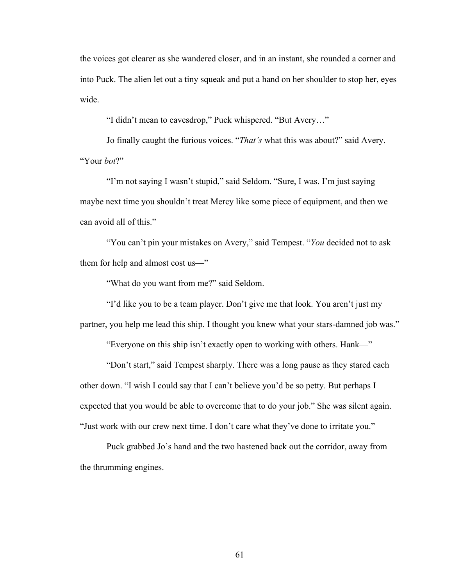the voices got clearer as she wandered closer, and in an instant, she rounded a corner and into Puck. The alien let out a tiny squeak and put a hand on her shoulder to stop her, eyes wide.

"I didn't mean to eavesdrop," Puck whispered. "But Avery…"

Jo finally caught the furious voices. "*That's* what this was about?" said Avery. "Your *bot*?"

"I'm not saying I wasn't stupid," said Seldom. "Sure, I was. I'm just saying maybe next time you shouldn't treat Mercy like some piece of equipment, and then we can avoid all of this."

"You can't pin your mistakes on Avery," said Tempest. "*You* decided not to ask them for help and almost cost us—"

"What do you want from me?" said Seldom.

"I'd like you to be a team player. Don't give me that look. You aren't just my partner, you help me lead this ship. I thought you knew what your stars-damned job was."

"Everyone on this ship isn't exactly open to working with others. Hank––"

"Don't start," said Tempest sharply. There was a long pause as they stared each other down. "I wish I could say that I can't believe you'd be so petty. But perhaps I expected that you would be able to overcome that to do your job." She was silent again. "Just work with our crew next time. I don't care what they've done to irritate you."

Puck grabbed Jo's hand and the two hastened back out the corridor, away from the thrumming engines.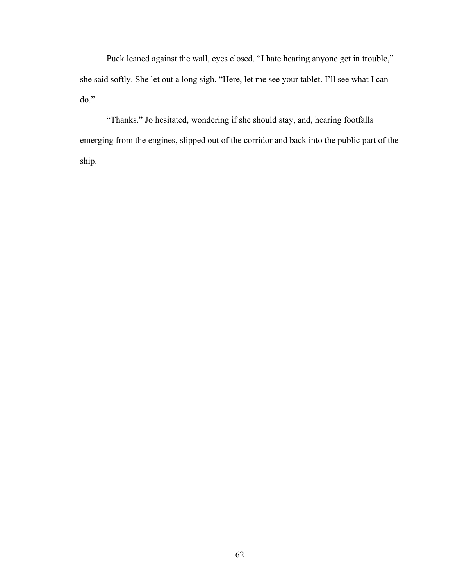Puck leaned against the wall, eyes closed. "I hate hearing anyone get in trouble," she said softly. She let out a long sigh. "Here, let me see your tablet. I'll see what I can do."

"Thanks." Jo hesitated, wondering if she should stay, and, hearing footfalls emerging from the engines, slipped out of the corridor and back into the public part of the ship.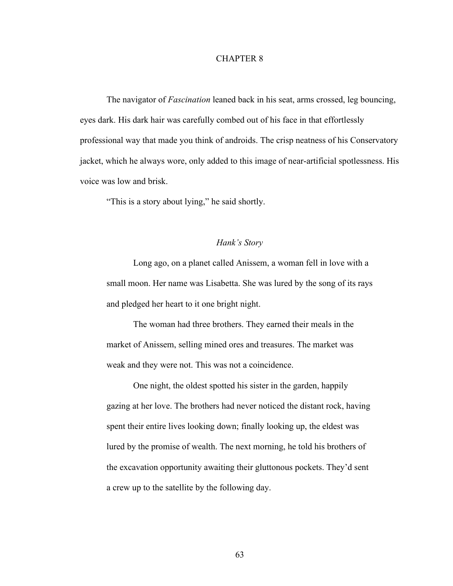### CHAPTER 8

The navigator of *Fascination* leaned back in his seat, arms crossed, leg bouncing, eyes dark. His dark hair was carefully combed out of his face in that effortlessly professional way that made you think of androids. The crisp neatness of his Conservatory jacket, which he always wore, only added to this image of near-artificial spotlessness. His voice was low and brisk.

"This is a story about lying," he said shortly.

## *Hank's Story*

Long ago, on a planet called Anissem, a woman fell in love with a small moon. Her name was Lisabetta. She was lured by the song of its rays and pledged her heart to it one bright night.

The woman had three brothers. They earned their meals in the market of Anissem, selling mined ores and treasures. The market was weak and they were not. This was not a coincidence.

One night, the oldest spotted his sister in the garden, happily gazing at her love. The brothers had never noticed the distant rock, having spent their entire lives looking down; finally looking up, the eldest was lured by the promise of wealth. The next morning, he told his brothers of the excavation opportunity awaiting their gluttonous pockets. They'd sent a crew up to the satellite by the following day.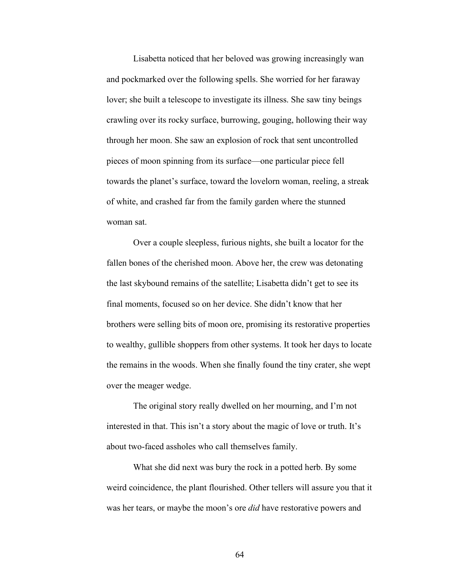Lisabetta noticed that her beloved was growing increasingly wan and pockmarked over the following spells. She worried for her faraway lover; she built a telescope to investigate its illness. She saw tiny beings crawling over its rocky surface, burrowing, gouging, hollowing their way through her moon. She saw an explosion of rock that sent uncontrolled pieces of moon spinning from its surface––one particular piece fell towards the planet's surface, toward the lovelorn woman, reeling, a streak of white, and crashed far from the family garden where the stunned woman sat.

Over a couple sleepless, furious nights, she built a locator for the fallen bones of the cherished moon. Above her, the crew was detonating the last skybound remains of the satellite; Lisabetta didn't get to see its final moments, focused so on her device. She didn't know that her brothers were selling bits of moon ore, promising its restorative properties to wealthy, gullible shoppers from other systems. It took her days to locate the remains in the woods. When she finally found the tiny crater, she wept over the meager wedge.

The original story really dwelled on her mourning, and I'm not interested in that. This isn't a story about the magic of love or truth. It's about two-faced assholes who call themselves family.

What she did next was bury the rock in a potted herb. By some weird coincidence, the plant flourished. Other tellers will assure you that it was her tears, or maybe the moon's ore *did* have restorative powers and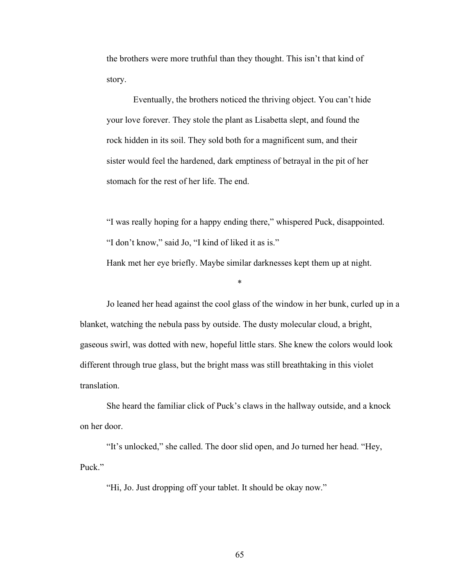the brothers were more truthful than they thought. This isn't that kind of story.

Eventually, the brothers noticed the thriving object. You can't hide your love forever. They stole the plant as Lisabetta slept, and found the rock hidden in its soil. They sold both for a magnificent sum, and their sister would feel the hardened, dark emptiness of betrayal in the pit of her stomach for the rest of her life. The end.

"I was really hoping for a happy ending there," whispered Puck, disappointed. "I don't know," said Jo, "I kind of liked it as is." Hank met her eye briefly. Maybe similar darknesses kept them up at night.

Jo leaned her head against the cool glass of the window in her bunk, curled up in a blanket, watching the nebula pass by outside. The dusty molecular cloud, a bright, gaseous swirl, was dotted with new, hopeful little stars. She knew the colors would look different through true glass, but the bright mass was still breathtaking in this violet translation.

\*

She heard the familiar click of Puck's claws in the hallway outside, and a knock on her door.

"It's unlocked," she called. The door slid open, and Jo turned her head. "Hey, Puck"

"Hi, Jo. Just dropping off your tablet. It should be okay now."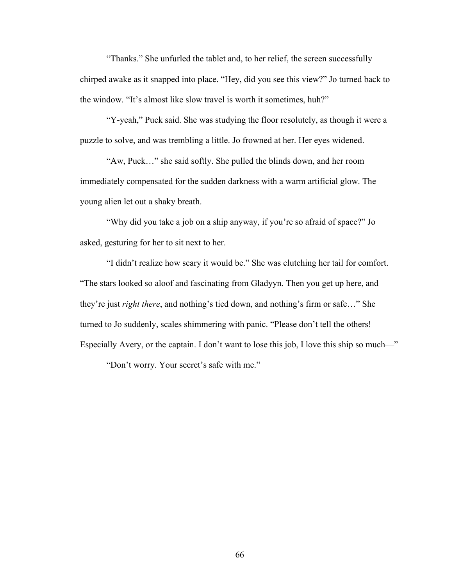"Thanks." She unfurled the tablet and, to her relief, the screen successfully chirped awake as it snapped into place. "Hey, did you see this view?" Jo turned back to the window. "It's almost like slow travel is worth it sometimes, huh?"

"Y-yeah," Puck said. She was studying the floor resolutely, as though it were a puzzle to solve, and was trembling a little. Jo frowned at her. Her eyes widened.

"Aw, Puck…" she said softly. She pulled the blinds down, and her room immediately compensated for the sudden darkness with a warm artificial glow. The young alien let out a shaky breath.

"Why did you take a job on a ship anyway, if you're so afraid of space?" Jo asked, gesturing for her to sit next to her.

"I didn't realize how scary it would be." She was clutching her tail for comfort. "The stars looked so aloof and fascinating from Gladyyn. Then you get up here, and they're just *right there*, and nothing's tied down, and nothing's firm or safe…" She turned to Jo suddenly, scales shimmering with panic. "Please don't tell the others! Especially Avery, or the captain. I don't want to lose this job, I love this ship so much—"

"Don't worry. Your secret's safe with me."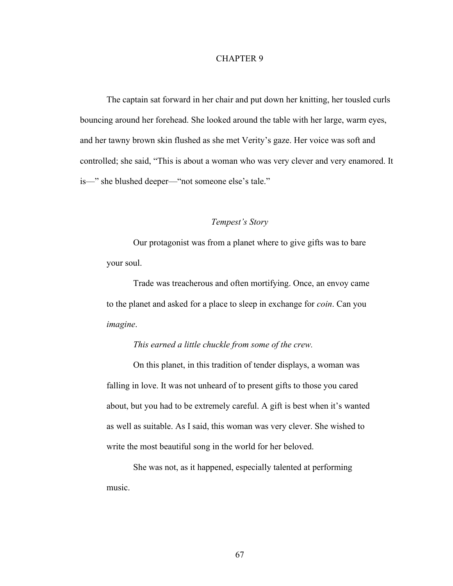The captain sat forward in her chair and put down her knitting, her tousled curls bouncing around her forehead. She looked around the table with her large, warm eyes, and her tawny brown skin flushed as she met Verity's gaze. Her voice was soft and controlled; she said, "This is about a woman who was very clever and very enamored. It is—" she blushed deeper—"not someone else's tale."

# *Tempest's Story*

Our protagonist was from a planet where to give gifts was to bare your soul.

Trade was treacherous and often mortifying. Once, an envoy came to the planet and asked for a place to sleep in exchange for *coin*. Can you *imagine*.

# *This earned a little chuckle from some of the crew.*

On this planet, in this tradition of tender displays, a woman was falling in love. It was not unheard of to present gifts to those you cared about, but you had to be extremely careful. A gift is best when it's wanted as well as suitable. As I said, this woman was very clever. She wished to write the most beautiful song in the world for her beloved.

She was not, as it happened, especially talented at performing music.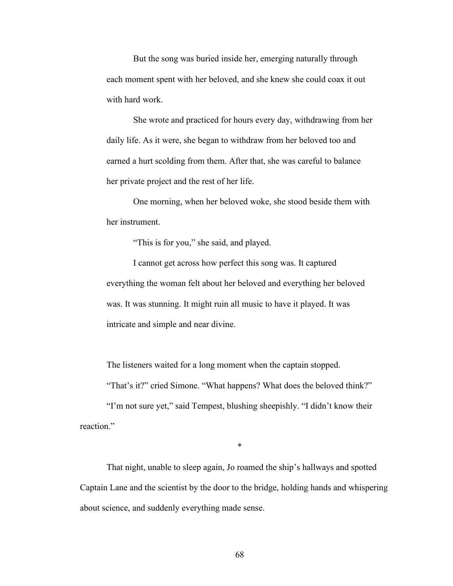But the song was buried inside her, emerging naturally through each moment spent with her beloved, and she knew she could coax it out with hard work.

She wrote and practiced for hours every day, withdrawing from her daily life. As it were, she began to withdraw from her beloved too and earned a hurt scolding from them. After that, she was careful to balance her private project and the rest of her life.

One morning, when her beloved woke, she stood beside them with her instrument.

"This is for you," she said, and played.

I cannot get across how perfect this song was. It captured everything the woman felt about her beloved and everything her beloved was. It was stunning. It might ruin all music to have it played. It was intricate and simple and near divine.

The listeners waited for a long moment when the captain stopped.

"That's it?" cried Simone. "What happens? What does the beloved think?"

"I'm not sure yet," said Tempest, blushing sheepishly. "I didn't know their reaction."

\*

That night, unable to sleep again, Jo roamed the ship's hallways and spotted Captain Lane and the scientist by the door to the bridge, holding hands and whispering about science, and suddenly everything made sense.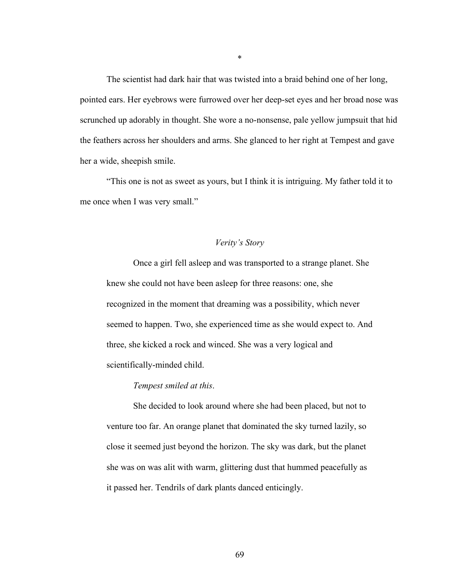The scientist had dark hair that was twisted into a braid behind one of her long, pointed ears. Her eyebrows were furrowed over her deep-set eyes and her broad nose was scrunched up adorably in thought. She wore a no-nonsense, pale yellow jumpsuit that hid the feathers across her shoulders and arms. She glanced to her right at Tempest and gave her a wide, sheepish smile.

"This one is not as sweet as yours, but I think it is intriguing. My father told it to me once when I was very small."

#### *Verity's Story*

Once a girl fell asleep and was transported to a strange planet. She knew she could not have been asleep for three reasons: one, she recognized in the moment that dreaming was a possibility, which never seemed to happen. Two, she experienced time as she would expect to. And three, she kicked a rock and winced. She was a very logical and scientifically-minded child.

# *Tempest smiled at this*.

She decided to look around where she had been placed, but not to venture too far. An orange planet that dominated the sky turned lazily, so close it seemed just beyond the horizon. The sky was dark, but the planet she was on was alit with warm, glittering dust that hummed peacefully as it passed her. Tendrils of dark plants danced enticingly.

\*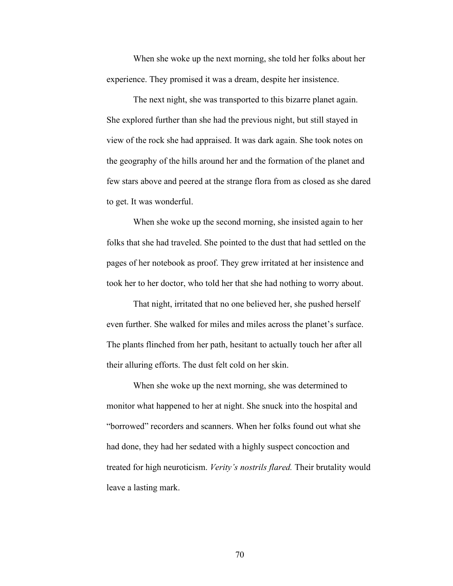When she woke up the next morning, she told her folks about her experience. They promised it was a dream, despite her insistence.

The next night, she was transported to this bizarre planet again. She explored further than she had the previous night, but still stayed in view of the rock she had appraised. It was dark again. She took notes on the geography of the hills around her and the formation of the planet and few stars above and peered at the strange flora from as closed as she dared to get. It was wonderful.

When she woke up the second morning, she insisted again to her folks that she had traveled. She pointed to the dust that had settled on the pages of her notebook as proof. They grew irritated at her insistence and took her to her doctor, who told her that she had nothing to worry about.

That night, irritated that no one believed her, she pushed herself even further. She walked for miles and miles across the planet's surface. The plants flinched from her path, hesitant to actually touch her after all their alluring efforts. The dust felt cold on her skin.

When she woke up the next morning, she was determined to monitor what happened to her at night. She snuck into the hospital and "borrowed" recorders and scanners. When her folks found out what she had done, they had her sedated with a highly suspect concoction and treated for high neuroticism. *Verity's nostrils flared.* Their brutality would leave a lasting mark.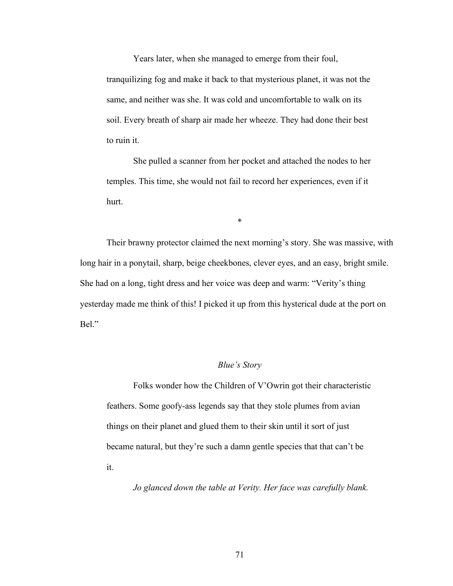Years later, when she managed to emerge from their foul, tranquilizing fog and make it back to that mysterious planet, it was not the same, and neither was she. It was cold and uncomfortable to walk on its soil. Every breath of sharp air made her wheeze. They had done their best to ruin it.

She pulled a scanner from her pocket and attached the nodes to her temples. This time, she would not fail to record her experiences, even if it hurt.

\*

Their brawny protector claimed the next morning's story. She was massive, with long hair in a ponytail, sharp, beige cheekbones, clever eyes, and an easy, bright smile. She had on a long, tight dress and her voice was deep and warm: "Verity's thing yesterday made me think of this! I picked it up from this hysterical dude at the port on Bel."

# *Blue's Story*

Folks wonder how the Children of V'Owrin got their characteristic feathers. Some goofy-ass legends say that they stole plumes from avian things on their planet and glued them to their skin until it sort of just became natural, but they're such a damn gentle species that that can't be it.

*Jo glanced down the table at Verity. Her face was carefully blank.*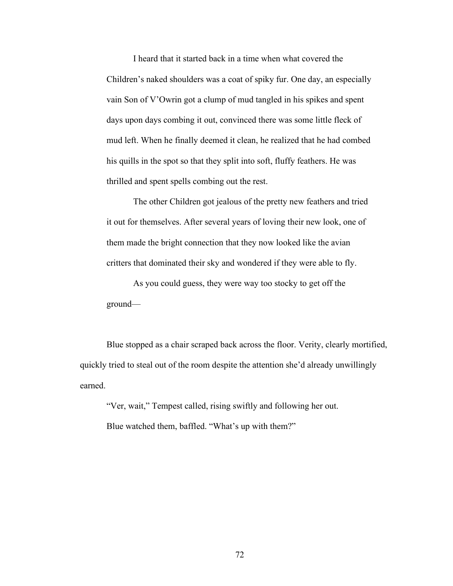I heard that it started back in a time when what covered the Children's naked shoulders was a coat of spiky fur. One day, an especially vain Son of V'Owrin got a clump of mud tangled in his spikes and spent days upon days combing it out, convinced there was some little fleck of mud left. When he finally deemed it clean, he realized that he had combed his quills in the spot so that they split into soft, fluffy feathers. He was thrilled and spent spells combing out the rest.

The other Children got jealous of the pretty new feathers and tried it out for themselves. After several years of loving their new look, one of them made the bright connection that they now looked like the avian critters that dominated their sky and wondered if they were able to fly.

As you could guess, they were way too stocky to get off the ground––

Blue stopped as a chair scraped back across the floor. Verity, clearly mortified, quickly tried to steal out of the room despite the attention she'd already unwillingly earned.

"Ver, wait," Tempest called, rising swiftly and following her out. Blue watched them, baffled. "What's up with them?"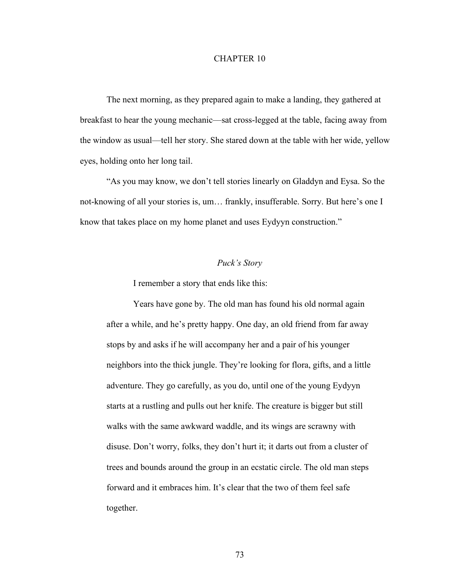The next morning, as they prepared again to make a landing, they gathered at breakfast to hear the young mechanic––sat cross-legged at the table, facing away from the window as usual––tell her story. She stared down at the table with her wide, yellow eyes, holding onto her long tail.

"As you may know, we don't tell stories linearly on Gladdyn and Eysa. So the not-knowing of all your stories is, um… frankly, insufferable. Sorry. But here's one I know that takes place on my home planet and uses Eydyyn construction."

# *Puck's Story*

I remember a story that ends like this:

Years have gone by. The old man has found his old normal again after a while, and he's pretty happy. One day, an old friend from far away stops by and asks if he will accompany her and a pair of his younger neighbors into the thick jungle. They're looking for flora, gifts, and a little adventure. They go carefully, as you do, until one of the young Eydyyn starts at a rustling and pulls out her knife. The creature is bigger but still walks with the same awkward waddle, and its wings are scrawny with disuse. Don't worry, folks, they don't hurt it; it darts out from a cluster of trees and bounds around the group in an ecstatic circle. The old man steps forward and it embraces him. It's clear that the two of them feel safe together.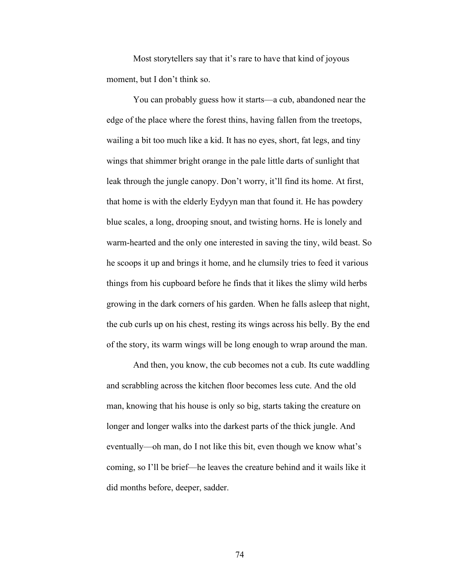Most storytellers say that it's rare to have that kind of joyous moment, but I don't think so.

You can probably guess how it starts––a cub, abandoned near the edge of the place where the forest thins, having fallen from the treetops, wailing a bit too much like a kid. It has no eyes, short, fat legs, and tiny wings that shimmer bright orange in the pale little darts of sunlight that leak through the jungle canopy. Don't worry, it'll find its home. At first, that home is with the elderly Eydyyn man that found it. He has powdery blue scales, a long, drooping snout, and twisting horns. He is lonely and warm-hearted and the only one interested in saving the tiny, wild beast. So he scoops it up and brings it home, and he clumsily tries to feed it various things from his cupboard before he finds that it likes the slimy wild herbs growing in the dark corners of his garden. When he falls asleep that night, the cub curls up on his chest, resting its wings across his belly. By the end of the story, its warm wings will be long enough to wrap around the man.

And then, you know, the cub becomes not a cub. Its cute waddling and scrabbling across the kitchen floor becomes less cute. And the old man, knowing that his house is only so big, starts taking the creature on longer and longer walks into the darkest parts of the thick jungle. And eventually––oh man, do I not like this bit, even though we know what's coming, so I'll be brief––he leaves the creature behind and it wails like it did months before, deeper, sadder.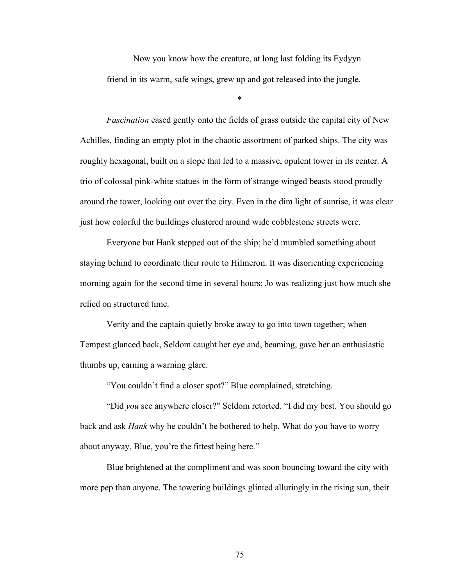Now you know how the creature, at long last folding its Eydyyn friend in its warm, safe wings, grew up and got released into the jungle.

\*

*Fascination* eased gently onto the fields of grass outside the capital city of New Achilles, finding an empty plot in the chaotic assortment of parked ships. The city was roughly hexagonal, built on a slope that led to a massive, opulent tower in its center. A trio of colossal pink-white statues in the form of strange winged beasts stood proudly around the tower, looking out over the city. Even in the dim light of sunrise, it was clear just how colorful the buildings clustered around wide cobblestone streets were.

Everyone but Hank stepped out of the ship; he'd mumbled something about staying behind to coordinate their route to Hilmeron. It was disorienting experiencing morning again for the second time in several hours; Jo was realizing just how much she relied on structured time.

Verity and the captain quietly broke away to go into town together; when Tempest glanced back, Seldom caught her eye and, beaming, gave her an enthusiastic thumbs up, earning a warning glare.

"You couldn't find a closer spot?" Blue complained, stretching.

"Did *you* see anywhere closer?" Seldom retorted. "I did my best. You should go back and ask *Hank* why he couldn't be bothered to help. What do you have to worry about anyway, Blue, you're the fittest being here."

Blue brightened at the compliment and was soon bouncing toward the city with more pep than anyone. The towering buildings glinted alluringly in the rising sun, their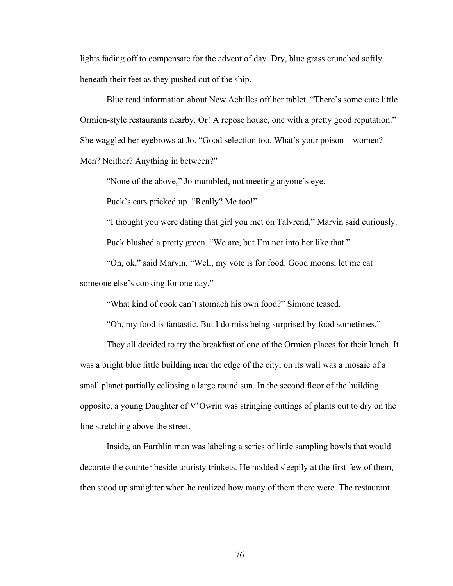lights fading off to compensate for the advent of day. Dry, blue grass crunched softly beneath their feet as they pushed out of the ship.

Blue read information about New Achilles off her tablet. "There's some cute little Ormien-style restaurants nearby. Or! A repose house, one with a pretty good reputation." She waggled her eyebrows at Jo. "Good selection too. What's your poison––women? Men? Neither? Anything in between?"

"None of the above," Jo mumbled, not meeting anyone's eye.

Puck's ears pricked up. "Really? Me too!"

"I thought you were dating that girl you met on Talvrend," Marvin said curiously.

Puck blushed a pretty green. "We are, but I'm not into her like that."

"Oh, ok," said Marvin. "Well, my vote is for food. Good moons, let me eat someone else's cooking for one day."

"What kind of cook can't stomach his own food?" Simone teased.

"Oh, my food is fantastic. But I do miss being surprised by food sometimes."

They all decided to try the breakfast of one of the Ormien places for their lunch. It was a bright blue little building near the edge of the city; on its wall was a mosaic of a small planet partially eclipsing a large round sun. In the second floor of the building opposite, a young Daughter of V'Owrin was stringing cuttings of plants out to dry on the line stretching above the street.

Inside, an Earthlin man was labeling a series of little sampling bowls that would decorate the counter beside touristy trinkets. He nodded sleepily at the first few of them, then stood up straighter when he realized how many of them there were. The restaurant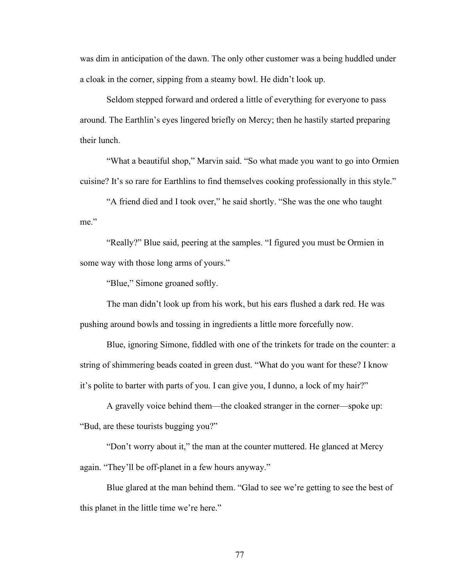was dim in anticipation of the dawn. The only other customer was a being huddled under a cloak in the corner, sipping from a steamy bowl. He didn't look up.

Seldom stepped forward and ordered a little of everything for everyone to pass around. The Earthlin's eyes lingered briefly on Mercy; then he hastily started preparing their lunch.

"What a beautiful shop," Marvin said. "So what made you want to go into Ormien cuisine? It's so rare for Earthlins to find themselves cooking professionally in this style."

"A friend died and I took over," he said shortly. "She was the one who taught me"

"Really?" Blue said, peering at the samples. "I figured you must be Ormien in some way with those long arms of yours."

"Blue," Simone groaned softly.

The man didn't look up from his work, but his ears flushed a dark red. He was pushing around bowls and tossing in ingredients a little more forcefully now.

Blue, ignoring Simone, fiddled with one of the trinkets for trade on the counter: a string of shimmering beads coated in green dust. "What do you want for these? I know it's polite to barter with parts of you. I can give you, I dunno, a lock of my hair?"

A gravelly voice behind them––the cloaked stranger in the corner––spoke up: "Bud, are these tourists bugging you?"

"Don't worry about it," the man at the counter muttered. He glanced at Mercy again. "They'll be off-planet in a few hours anyway."

Blue glared at the man behind them. "Glad to see we're getting to see the best of this planet in the little time we're here."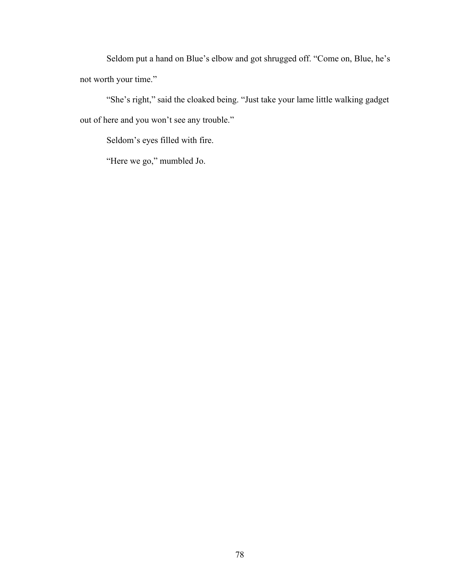Seldom put a hand on Blue's elbow and got shrugged off. "Come on, Blue, he's not worth your time."

"She's right," said the cloaked being. "Just take your lame little walking gadget out of here and you won't see any trouble."

Seldom's eyes filled with fire.

"Here we go," mumbled Jo.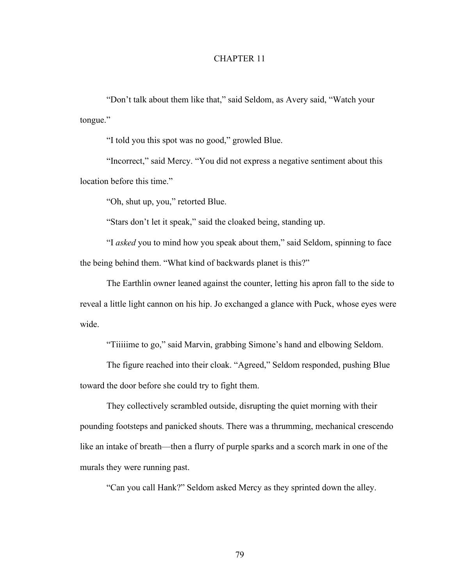"Don't talk about them like that," said Seldom, as Avery said, "Watch your tongue."

"I told you this spot was no good," growled Blue.

"Incorrect," said Mercy. "You did not express a negative sentiment about this location before this time."

"Oh, shut up, you," retorted Blue.

"Stars don't let it speak," said the cloaked being, standing up.

"I *asked* you to mind how you speak about them," said Seldom, spinning to face the being behind them. "What kind of backwards planet is this?"

The Earthlin owner leaned against the counter, letting his apron fall to the side to reveal a little light cannon on his hip. Jo exchanged a glance with Puck, whose eyes were wide.

"Tiiiiime to go," said Marvin, grabbing Simone's hand and elbowing Seldom.

The figure reached into their cloak. "Agreed," Seldom responded, pushing Blue toward the door before she could try to fight them.

They collectively scrambled outside, disrupting the quiet morning with their pounding footsteps and panicked shouts. There was a thrumming, mechanical crescendo like an intake of breath—then a flurry of purple sparks and a scorch mark in one of the murals they were running past.

"Can you call Hank?" Seldom asked Mercy as they sprinted down the alley.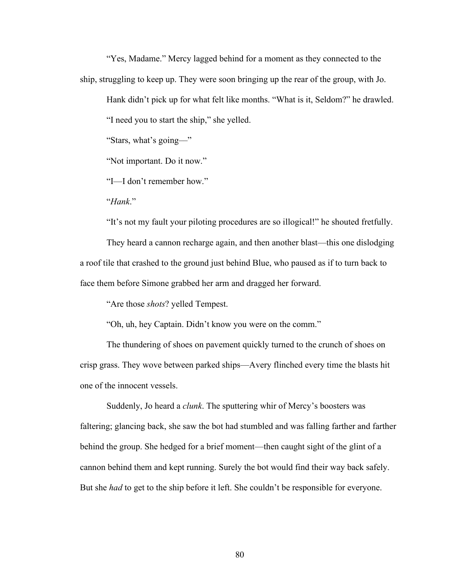"Yes, Madame." Mercy lagged behind for a moment as they connected to the ship, struggling to keep up. They were soon bringing up the rear of the group, with Jo.

Hank didn't pick up for what felt like months. "What is it, Seldom?" he drawled.

"I need you to start the ship," she yelled.

"Stars, what's going––"

"Not important. Do it now."

"I––I don't remember how."

"*Hank*."

"It's not my fault your piloting procedures are so illogical!" he shouted fretfully.

They heard a cannon recharge again, and then another blast––this one dislodging a roof tile that crashed to the ground just behind Blue, who paused as if to turn back to face them before Simone grabbed her arm and dragged her forward.

"Are those *shots*? yelled Tempest.

"Oh, uh, hey Captain. Didn't know you were on the comm."

The thundering of shoes on pavement quickly turned to the crunch of shoes on crisp grass. They wove between parked ships––Avery flinched every time the blasts hit one of the innocent vessels.

Suddenly, Jo heard a *clunk*. The sputtering whir of Mercy's boosters was faltering; glancing back, she saw the bot had stumbled and was falling farther and farther behind the group. She hedged for a brief moment––then caught sight of the glint of a cannon behind them and kept running. Surely the bot would find their way back safely. But she *had* to get to the ship before it left. She couldn't be responsible for everyone.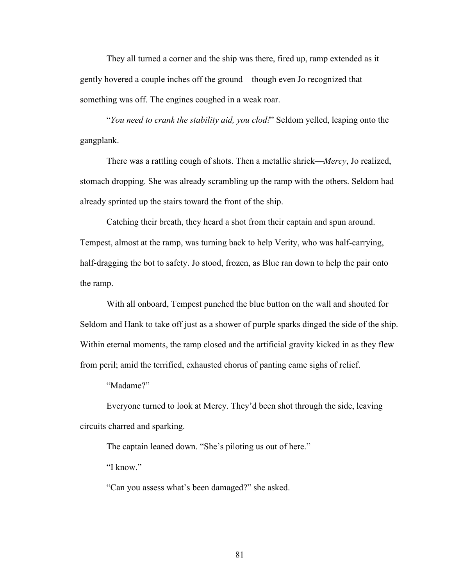They all turned a corner and the ship was there, fired up, ramp extended as it gently hovered a couple inches off the ground––though even Jo recognized that something was off. The engines coughed in a weak roar.

"*You need to crank the stability aid, you clod!*" Seldom yelled, leaping onto the gangplank.

There was a rattling cough of shots. Then a metallic shriek––*Mercy*, Jo realized, stomach dropping. She was already scrambling up the ramp with the others. Seldom had already sprinted up the stairs toward the front of the ship.

Catching their breath, they heard a shot from their captain and spun around. Tempest, almost at the ramp, was turning back to help Verity, who was half-carrying, half-dragging the bot to safety. Jo stood, frozen, as Blue ran down to help the pair onto the ramp.

With all onboard, Tempest punched the blue button on the wall and shouted for Seldom and Hank to take off just as a shower of purple sparks dinged the side of the ship. Within eternal moments, the ramp closed and the artificial gravity kicked in as they flew from peril; amid the terrified, exhausted chorus of panting came sighs of relief.

"Madame?"

Everyone turned to look at Mercy. They'd been shot through the side, leaving circuits charred and sparking.

The captain leaned down. "She's piloting us out of here."

"I know"

"Can you assess what's been damaged?" she asked.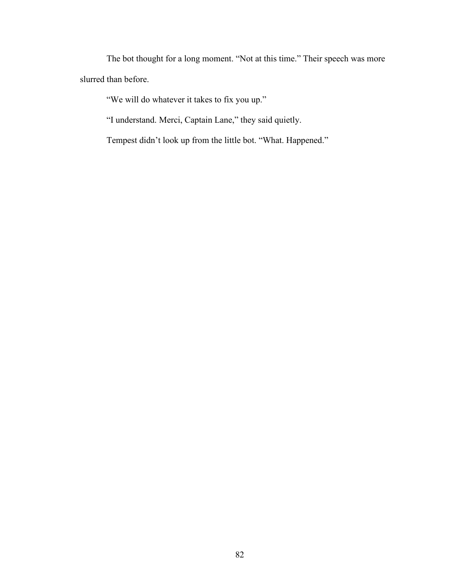The bot thought for a long moment. "Not at this time." Their speech was more slurred than before.

"We will do whatever it takes to fix you up."

"I understand. Merci, Captain Lane," they said quietly.

Tempest didn't look up from the little bot. "What. Happened."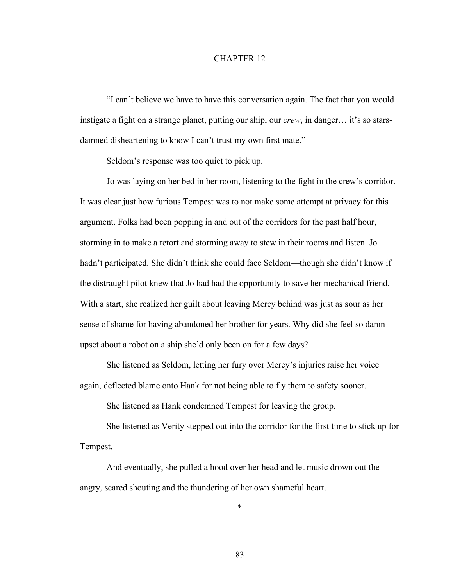"I can't believe we have to have this conversation again. The fact that you would instigate a fight on a strange planet, putting our ship, our *crew*, in danger… it's so starsdamned disheartening to know I can't trust my own first mate."

Seldom's response was too quiet to pick up.

Jo was laying on her bed in her room, listening to the fight in the crew's corridor. It was clear just how furious Tempest was to not make some attempt at privacy for this argument. Folks had been popping in and out of the corridors for the past half hour, storming in to make a retort and storming away to stew in their rooms and listen. Jo hadn't participated. She didn't think she could face Seldom—though she didn't know if the distraught pilot knew that Jo had had the opportunity to save her mechanical friend. With a start, she realized her guilt about leaving Mercy behind was just as sour as her sense of shame for having abandoned her brother for years. Why did she feel so damn upset about a robot on a ship she'd only been on for a few days?

She listened as Seldom, letting her fury over Mercy's injuries raise her voice again, deflected blame onto Hank for not being able to fly them to safety sooner.

She listened as Hank condemned Tempest for leaving the group.

She listened as Verity stepped out into the corridor for the first time to stick up for Tempest.

And eventually, she pulled a hood over her head and let music drown out the angry, scared shouting and the thundering of her own shameful heart.

\*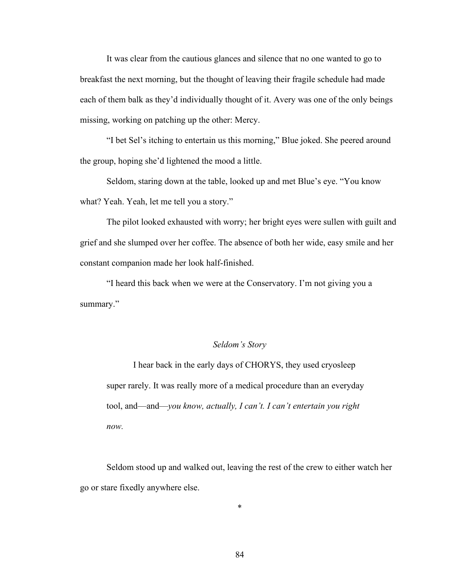It was clear from the cautious glances and silence that no one wanted to go to breakfast the next morning, but the thought of leaving their fragile schedule had made each of them balk as they'd individually thought of it. Avery was one of the only beings missing, working on patching up the other: Mercy.

"I bet Sel's itching to entertain us this morning," Blue joked. She peered around the group, hoping she'd lightened the mood a little.

Seldom, staring down at the table, looked up and met Blue's eye. "You know what? Yeah. Yeah, let me tell you a story."

The pilot looked exhausted with worry; her bright eyes were sullen with guilt and grief and she slumped over her coffee. The absence of both her wide, easy smile and her constant companion made her look half-finished.

"I heard this back when we were at the Conservatory. I'm not giving you a summary."

# *Seldom's Story*

I hear back in the early days of CHORYS, they used cryosleep super rarely. It was really more of a medical procedure than an everyday tool, and––and––*you know, actually, I can't. I can't entertain you right now.*

Seldom stood up and walked out, leaving the rest of the crew to either watch her go or stare fixedly anywhere else.

\*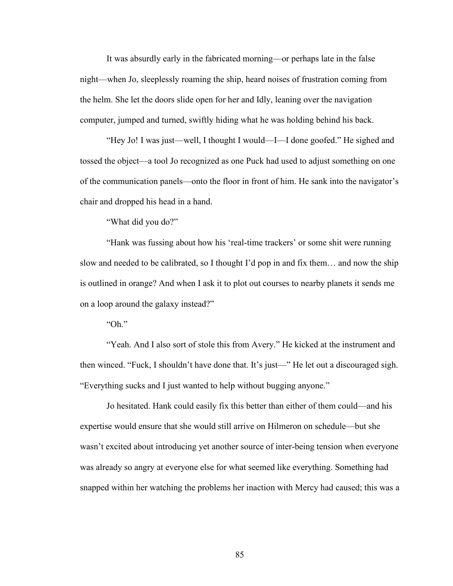It was absurdly early in the fabricated morning––or perhaps late in the false night––when Jo, sleeplessly roaming the ship, heard noises of frustration coming from the helm. She let the doors slide open for her and Idly, leaning over the navigation computer, jumped and turned, swiftly hiding what he was holding behind his back.

"Hey Jo! I was just––well, I thought I would––I––I done goofed." He sighed and tossed the object––a tool Jo recognized as one Puck had used to adjust something on one of the communication panels––onto the floor in front of him. He sank into the navigator's chair and dropped his head in a hand.

"What did you do?"

"Hank was fussing about how his 'real-time trackers' or some shit were running slow and needed to be calibrated, so I thought I'd pop in and fix them… and now the ship is outlined in orange? And when I ask it to plot out courses to nearby planets it sends me on a loop around the galaxy instead?"

"Oh."

"Yeah. And I also sort of stole this from Avery." He kicked at the instrument and then winced. "Fuck, I shouldn't have done that. It's just––" He let out a discouraged sigh. "Everything sucks and I just wanted to help without bugging anyone."

Jo hesitated. Hank could easily fix this better than either of them could––and his expertise would ensure that she would still arrive on Hilmeron on schedule––but she wasn't excited about introducing yet another source of inter-being tension when everyone was already so angry at everyone else for what seemed like everything. Something had snapped within her watching the problems her inaction with Mercy had caused; this was a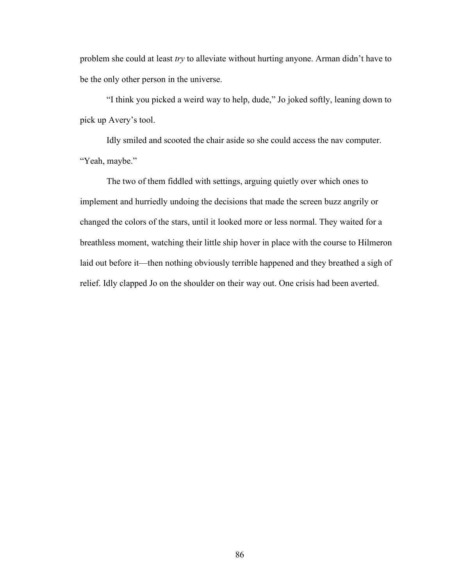problem she could at least *try* to alleviate without hurting anyone. Arman didn't have to be the only other person in the universe.

"I think you picked a weird way to help, dude," Jo joked softly, leaning down to pick up Avery's tool.

Idly smiled and scooted the chair aside so she could access the nav computer. "Yeah, maybe."

The two of them fiddled with settings, arguing quietly over which ones to implement and hurriedly undoing the decisions that made the screen buzz angrily or changed the colors of the stars, until it looked more or less normal. They waited for a breathless moment, watching their little ship hover in place with the course to Hilmeron laid out before it—then nothing obviously terrible happened and they breathed a sigh of relief. Idly clapped Jo on the shoulder on their way out. One crisis had been averted.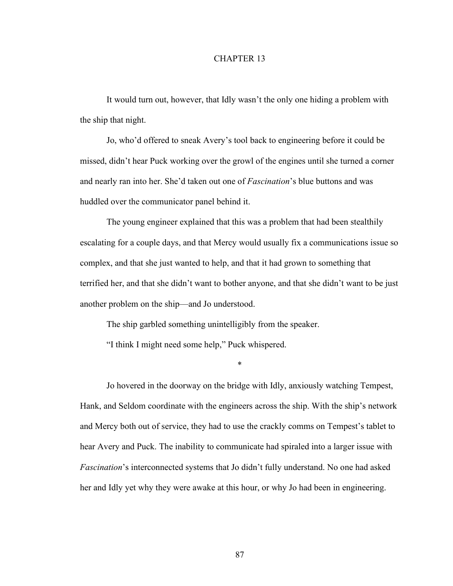It would turn out, however, that Idly wasn't the only one hiding a problem with the ship that night.

Jo, who'd offered to sneak Avery's tool back to engineering before it could be missed, didn't hear Puck working over the growl of the engines until she turned a corner and nearly ran into her. She'd taken out one of *Fascination*'s blue buttons and was huddled over the communicator panel behind it.

The young engineer explained that this was a problem that had been stealthily escalating for a couple days, and that Mercy would usually fix a communications issue so complex, and that she just wanted to help, and that it had grown to something that terrified her, and that she didn't want to bother anyone, and that she didn't want to be just another problem on the ship––and Jo understood.

The ship garbled something unintelligibly from the speaker.

"I think I might need some help," Puck whispered.

\*

Jo hovered in the doorway on the bridge with Idly, anxiously watching Tempest, Hank, and Seldom coordinate with the engineers across the ship. With the ship's network and Mercy both out of service, they had to use the crackly comms on Tempest's tablet to hear Avery and Puck. The inability to communicate had spiraled into a larger issue with *Fascination*'s interconnected systems that Jo didn't fully understand. No one had asked her and Idly yet why they were awake at this hour, or why Jo had been in engineering.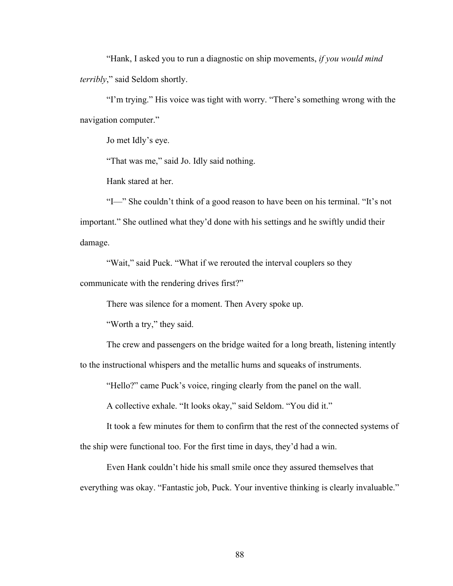"Hank, I asked you to run a diagnostic on ship movements, *if you would mind terribly*," said Seldom shortly.

"I'm trying." His voice was tight with worry. "There's something wrong with the navigation computer."

Jo met Idly's eye.

"That was me," said Jo. Idly said nothing.

Hank stared at her.

"I––" She couldn't think of a good reason to have been on his terminal. "It's not important." She outlined what they'd done with his settings and he swiftly undid their damage.

"Wait," said Puck. "What if we rerouted the interval couplers so they communicate with the rendering drives first?"

There was silence for a moment. Then Avery spoke up.

"Worth a try," they said.

The crew and passengers on the bridge waited for a long breath, listening intently

to the instructional whispers and the metallic hums and squeaks of instruments.

"Hello?" came Puck's voice, ringing clearly from the panel on the wall.

A collective exhale. "It looks okay," said Seldom. "You did it."

It took a few minutes for them to confirm that the rest of the connected systems of the ship were functional too. For the first time in days, they'd had a win.

Even Hank couldn't hide his small smile once they assured themselves that everything was okay. "Fantastic job, Puck. Your inventive thinking is clearly invaluable."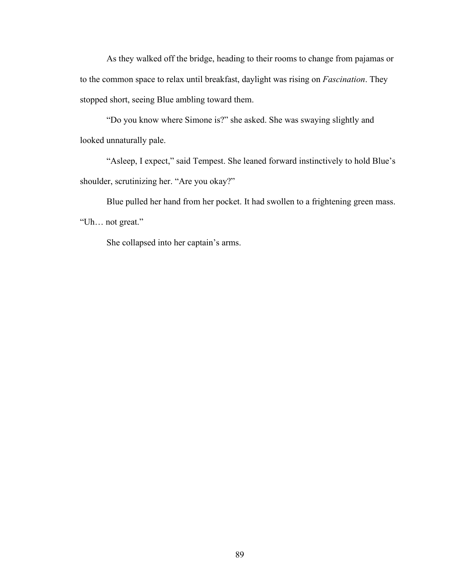As they walked off the bridge, heading to their rooms to change from pajamas or to the common space to relax until breakfast, daylight was rising on *Fascination*. They stopped short, seeing Blue ambling toward them.

"Do you know where Simone is?" she asked. She was swaying slightly and looked unnaturally pale.

"Asleep, I expect," said Tempest. She leaned forward instinctively to hold Blue's shoulder, scrutinizing her. "Are you okay?"

Blue pulled her hand from her pocket. It had swollen to a frightening green mass. "Uh… not great."

She collapsed into her captain's arms.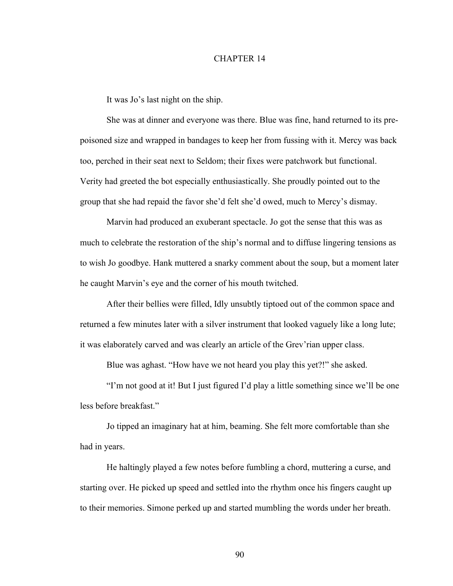It was Jo's last night on the ship.

She was at dinner and everyone was there. Blue was fine, hand returned to its prepoisoned size and wrapped in bandages to keep her from fussing with it. Mercy was back too, perched in their seat next to Seldom; their fixes were patchwork but functional. Verity had greeted the bot especially enthusiastically. She proudly pointed out to the group that she had repaid the favor she'd felt she'd owed, much to Mercy's dismay.

Marvin had produced an exuberant spectacle. Jo got the sense that this was as much to celebrate the restoration of the ship's normal and to diffuse lingering tensions as to wish Jo goodbye. Hank muttered a snarky comment about the soup, but a moment later he caught Marvin's eye and the corner of his mouth twitched.

After their bellies were filled, Idly unsubtly tiptoed out of the common space and returned a few minutes later with a silver instrument that looked vaguely like a long lute; it was elaborately carved and was clearly an article of the Grev'rian upper class.

Blue was aghast. "How have we not heard you play this yet?!" she asked.

"I'm not good at it! But I just figured I'd play a little something since we'll be one less before breakfast."

Jo tipped an imaginary hat at him, beaming. She felt more comfortable than she had in years.

He haltingly played a few notes before fumbling a chord, muttering a curse, and starting over. He picked up speed and settled into the rhythm once his fingers caught up to their memories. Simone perked up and started mumbling the words under her breath.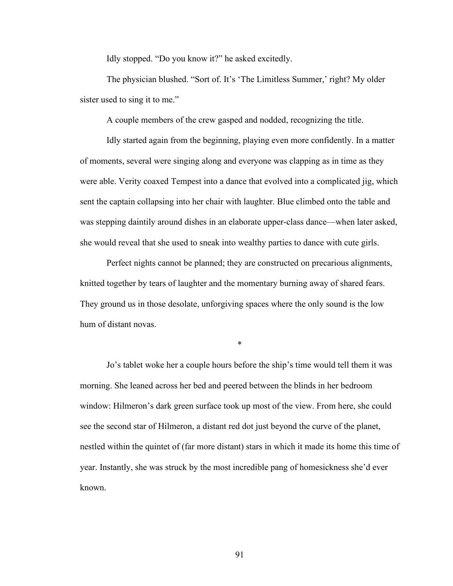Idly stopped. "Do you know it?" he asked excitedly.

The physician blushed. "Sort of. It's 'The Limitless Summer,' right? My older sister used to sing it to me."

A couple members of the crew gasped and nodded, recognizing the title.

Idly started again from the beginning, playing even more confidently. In a matter of moments, several were singing along and everyone was clapping as in time as they were able. Verity coaxed Tempest into a dance that evolved into a complicated jig, which sent the captain collapsing into her chair with laughter. Blue climbed onto the table and was stepping daintily around dishes in an elaborate upper-class dance—when later asked, she would reveal that she used to sneak into wealthy parties to dance with cute girls.

Perfect nights cannot be planned; they are constructed on precarious alignments, knitted together by tears of laughter and the momentary burning away of shared fears. They ground us in those desolate, unforgiving spaces where the only sound is the low hum of distant novas.

\*

Jo's tablet woke her a couple hours before the ship's time would tell them it was morning. She leaned across her bed and peered between the blinds in her bedroom window: Hilmeron's dark green surface took up most of the view. From here, she could see the second star of Hilmeron, a distant red dot just beyond the curve of the planet, nestled within the quintet of (far more distant) stars in which it made its home this time of year. Instantly, she was struck by the most incredible pang of homesickness she'd ever known.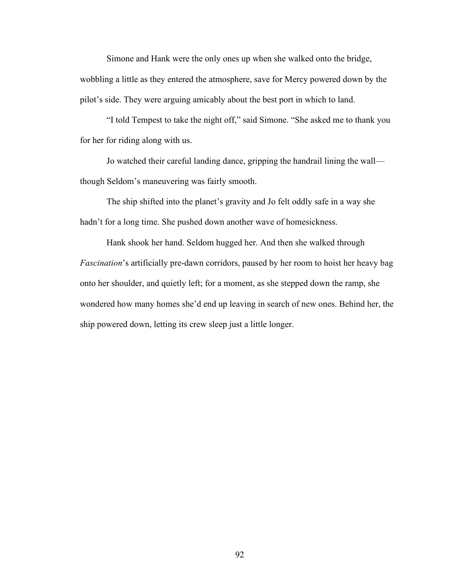Simone and Hank were the only ones up when she walked onto the bridge, wobbling a little as they entered the atmosphere, save for Mercy powered down by the pilot's side. They were arguing amicably about the best port in which to land.

"I told Tempest to take the night off," said Simone. "She asked me to thank you for her for riding along with us.

Jo watched their careful landing dance, gripping the handrail lining the wall–– though Seldom's maneuvering was fairly smooth.

The ship shifted into the planet's gravity and Jo felt oddly safe in a way she hadn't for a long time. She pushed down another wave of homesickness.

Hank shook her hand. Seldom hugged her. And then she walked through *Fascination*'s artificially pre-dawn corridors, paused by her room to hoist her heavy bag onto her shoulder, and quietly left; for a moment, as she stepped down the ramp, she wondered how many homes she'd end up leaving in search of new ones. Behind her, the ship powered down, letting its crew sleep just a little longer.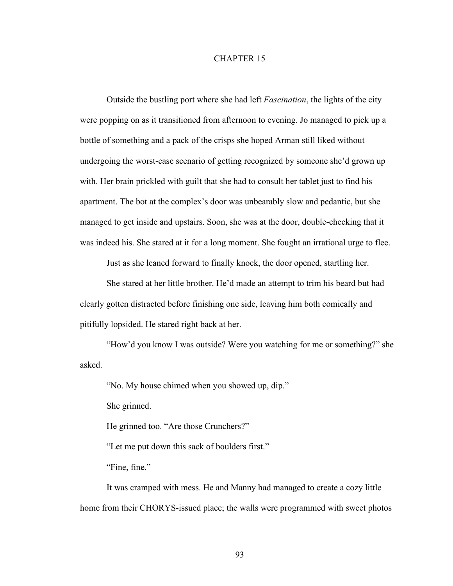Outside the bustling port where she had left *Fascination*, the lights of the city were popping on as it transitioned from afternoon to evening. Jo managed to pick up a bottle of something and a pack of the crisps she hoped Arman still liked without undergoing the worst-case scenario of getting recognized by someone she'd grown up with. Her brain prickled with guilt that she had to consult her tablet just to find his apartment. The bot at the complex's door was unbearably slow and pedantic, but she managed to get inside and upstairs. Soon, she was at the door, double-checking that it was indeed his. She stared at it for a long moment. She fought an irrational urge to flee.

Just as she leaned forward to finally knock, the door opened, startling her.

She stared at her little brother. He'd made an attempt to trim his beard but had clearly gotten distracted before finishing one side, leaving him both comically and pitifully lopsided. He stared right back at her.

"How'd you know I was outside? Were you watching for me or something?" she asked.

"No. My house chimed when you showed up, dip."

She grinned.

He grinned too. "Are those Crunchers?"

"Let me put down this sack of boulders first."

"Fine, fine."

It was cramped with mess. He and Manny had managed to create a cozy little home from their CHORYS-issued place; the walls were programmed with sweet photos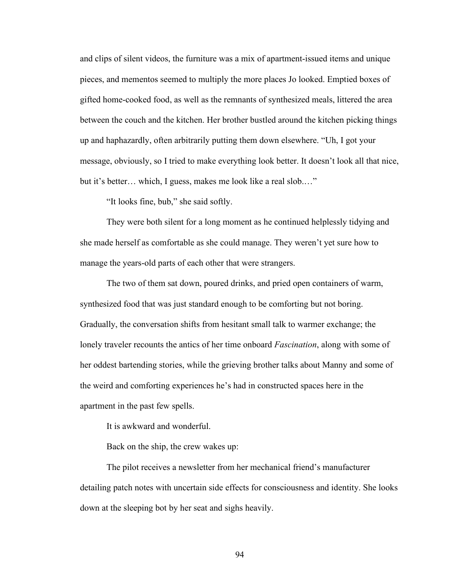and clips of silent videos, the furniture was a mix of apartment-issued items and unique pieces, and mementos seemed to multiply the more places Jo looked. Emptied boxes of gifted home-cooked food, as well as the remnants of synthesized meals, littered the area between the couch and the kitchen. Her brother bustled around the kitchen picking things up and haphazardly, often arbitrarily putting them down elsewhere. "Uh, I got your message, obviously, so I tried to make everything look better. It doesn't look all that nice, but it's better… which, I guess, makes me look like a real slob.…"

"It looks fine, bub," she said softly.

They were both silent for a long moment as he continued helplessly tidying and she made herself as comfortable as she could manage. They weren't yet sure how to manage the years-old parts of each other that were strangers.

The two of them sat down, poured drinks, and pried open containers of warm, synthesized food that was just standard enough to be comforting but not boring. Gradually, the conversation shifts from hesitant small talk to warmer exchange; the lonely traveler recounts the antics of her time onboard *Fascination*, along with some of her oddest bartending stories, while the grieving brother talks about Manny and some of the weird and comforting experiences he's had in constructed spaces here in the apartment in the past few spells.

It is awkward and wonderful.

Back on the ship, the crew wakes up:

The pilot receives a newsletter from her mechanical friend's manufacturer detailing patch notes with uncertain side effects for consciousness and identity. She looks down at the sleeping bot by her seat and sighs heavily.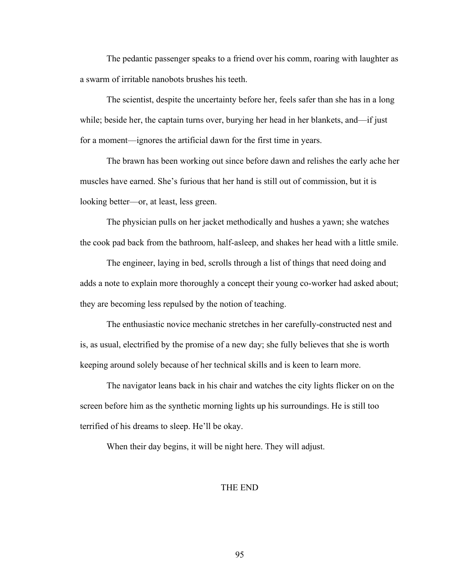The pedantic passenger speaks to a friend over his comm, roaring with laughter as a swarm of irritable nanobots brushes his teeth.

The scientist, despite the uncertainty before her, feels safer than she has in a long while; beside her, the captain turns over, burying her head in her blankets, and—if just for a moment—ignores the artificial dawn for the first time in years.

The brawn has been working out since before dawn and relishes the early ache her muscles have earned. She's furious that her hand is still out of commission, but it is looking better—or, at least, less green.

The physician pulls on her jacket methodically and hushes a yawn; she watches the cook pad back from the bathroom, half-asleep, and shakes her head with a little smile.

The engineer, laying in bed, scrolls through a list of things that need doing and adds a note to explain more thoroughly a concept their young co-worker had asked about; they are becoming less repulsed by the notion of teaching.

The enthusiastic novice mechanic stretches in her carefully-constructed nest and is, as usual, electrified by the promise of a new day; she fully believes that she is worth keeping around solely because of her technical skills and is keen to learn more.

The navigator leans back in his chair and watches the city lights flicker on on the screen before him as the synthetic morning lights up his surroundings. He is still too terrified of his dreams to sleep. He'll be okay.

When their day begins, it will be night here. They will adjust.

# THE END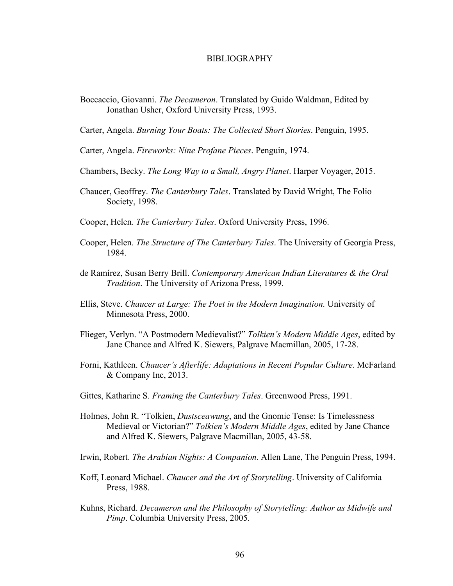#### BIBLIOGRAPHY

Boccaccio, Giovanni. *The Decameron*. Translated by Guido Waldman, Edited by Jonathan Usher, Oxford University Press, 1993.

Carter, Angela. *Burning Your Boats: The Collected Short Stories*. Penguin, 1995.

Carter, Angela. *Fireworks: Nine Profane Pieces*. Penguin, 1974.

- Chambers, Becky. *The Long Way to a Small, Angry Planet*. Harper Voyager, 2015.
- Chaucer, Geoffrey. *The Canterbury Tales*. Translated by David Wright, The Folio Society, 1998.
- Cooper, Helen. *The Canterbury Tales*. Oxford University Press, 1996.
- Cooper, Helen. *The Structure of The Canterbury Tales*. The University of Georgia Press, 1984.
- de Ramírez, Susan Berry Brill. *Contemporary American Indian Literatures & the Oral Tradition*. The University of Arizona Press, 1999.
- Ellis, Steve. *Chaucer at Large: The Poet in the Modern Imagination.* University of Minnesota Press, 2000.
- Flieger, Verlyn. "A Postmodern Medievalist?" *Tolkien's Modern Middle Ages*, edited by Jane Chance and Alfred K. Siewers, Palgrave Macmillan, 2005, 17-28.
- Forni, Kathleen. *Chaucer's Afterlife: Adaptations in Recent Popular Culture*. McFarland & Company Inc, 2013.
- Gittes, Katharine S. *Framing the Canterbury Tales*. Greenwood Press, 1991.
- Holmes, John R. "Tolkien, *Dustsceawung*, and the Gnomic Tense: Is Timelessness Medieval or Victorian?" *Tolkien's Modern Middle Ages*, edited by Jane Chance and Alfred K. Siewers, Palgrave Macmillan, 2005, 43-58.
- Irwin, Robert. *The Arabian Nights: A Companion*. Allen Lane, The Penguin Press, 1994.
- Koff, Leonard Michael. *Chaucer and the Art of Storytelling*. University of California Press, 1988.
- Kuhns, Richard. *Decameron and the Philosophy of Storytelling: Author as Midwife and Pimp*. Columbia University Press, 2005.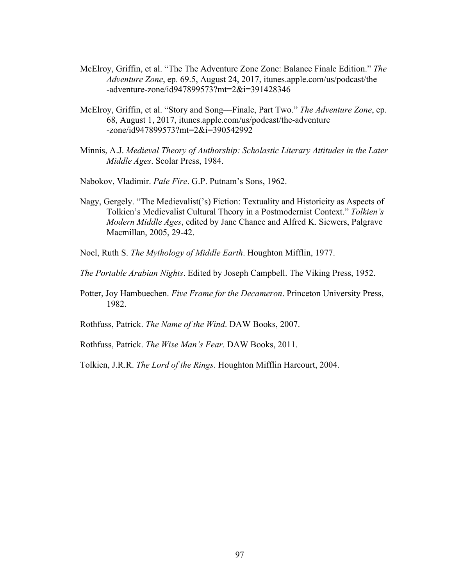- McElroy, Griffin, et al. "The The Adventure Zone Zone: Balance Finale Edition." *The Adventure Zone*, ep. 69.5, August 24, 2017, itunes.apple.com/us/podcast/the -adventure-zone/id947899573?mt=2&i=391428346
- McElroy, Griffin, et al. "Story and Song––Finale, Part Two." *The Adventure Zone*, ep. 68, August 1, 2017, itunes.apple.com/us/podcast/the-adventure -zone/id947899573?mt=2&i=390542992
- Minnis, A.J. *Medieval Theory of Authorship: Scholastic Literary Attitudes in the Later Middle Ages*. Scolar Press, 1984.
- Nabokov, Vladimir. *Pale Fire*. G.P. Putnam's Sons, 1962.
- Nagy, Gergely. "The Medievalist('s) Fiction: Textuality and Historicity as Aspects of Tolkien's Medievalist Cultural Theory in a Postmodernist Context." *Tolkien's Modern Middle Ages*, edited by Jane Chance and Alfred K. Siewers, Palgrave Macmillan, 2005, 29-42.
- Noel, Ruth S. *The Mythology of Middle Earth*. Houghton Mifflin, 1977.
- *The Portable Arabian Nights*. Edited by Joseph Campbell. The Viking Press, 1952.
- Potter, Joy Hambuechen. *Five Frame for the Decameron*. Princeton University Press, 1982.
- Rothfuss, Patrick. *The Name of the Wind*. DAW Books, 2007.
- Rothfuss, Patrick. *The Wise Man's Fear*. DAW Books, 2011.
- Tolkien, J.R.R. *The Lord of the Rings*. Houghton Mifflin Harcourt, 2004.